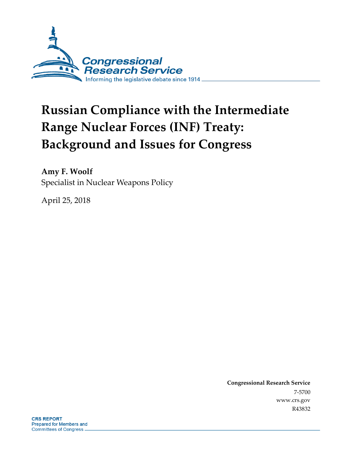

# **Russian Compliance with the Intermediate Range Nuclear Forces (INF) Treaty: Background and Issues for Congress**

**Amy F. Woolf** Specialist in Nuclear Weapons Policy

April 25, 2018

**Congressional Research Service** 7-5700 www.crs.gov R43832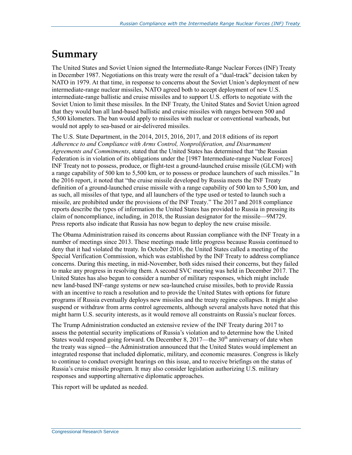## **Summary**

The United States and Soviet Union signed the Intermediate-Range Nuclear Forces (INF) Treaty in December 1987. Negotiations on this treaty were the result of a "dual-track" decision taken by NATO in 1979. At that time, in response to concerns about the Soviet Union's deployment of new intermediate-range nuclear missiles, NATO agreed both to accept deployment of new U.S. intermediate-range ballistic and cruise missiles and to support U.S. efforts to negotiate with the Soviet Union to limit these missiles. In the INF Treaty, the United States and Soviet Union agreed that they would ban all land-based ballistic and cruise missiles with ranges between 500 and 5,500 kilometers. The ban would apply to missiles with nuclear or conventional warheads, but would not apply to sea-based or air-delivered missiles.

The U.S. State Department, in the 2014, 2015, 2016, 2017, and 2018 editions of its report *Adherence to and Compliance with Arms Control, Nonproliferation, and Disarmament Agreements and Commitments*, stated that the United States has determined that "the Russian Federation is in violation of its obligations under the [1987 Intermediate-range Nuclear Forces] INF Treaty not to possess, produce, or flight-test a ground-launched cruise missile (GLCM) with a range capability of 500 km to 5,500 km, or to possess or produce launchers of such missiles." In the 2016 report, it noted that "the cruise missile developed by Russia meets the INF Treaty definition of a ground-launched cruise missile with a range capability of 500 km to 5,500 km, and as such, all missiles of that type, and all launchers of the type used or tested to launch such a missile, are prohibited under the provisions of the INF Treaty." The 2017 and 2018 compliance reports describe the types of information the United States has provided to Russia in pressing its claim of noncompliance, including, in 2018, the Russian designator for the missile—9M729. Press reports also indicate that Russia has now begun to deploy the new cruise missile.

The Obama Administration raised its concerns about Russian compliance with the INF Treaty in a number of meetings since 2013. These meetings made little progress because Russia continued to deny that it had violated the treaty. In October 2016, the United States called a meeting of the Special Verification Commission, which was established by the INF Treaty to address compliance concerns. During this meeting, in mid-November, both sides raised their concerns, but they failed to make any progress in resolving them. A second SVC meeting was held in December 2017. The United States has also begun to consider a number of military responses, which might include new land-based INF-range systems or new sea-launched cruise missiles, both to provide Russia with an incentive to reach a resolution and to provide the United States with options for future programs if Russia eventually deploys new missiles and the treaty regime collapses. It might also suspend or withdraw from arms control agreements, although several analysts have noted that this might harm U.S. security interests, as it would remove all constraints on Russia's nuclear forces.

The Trump Administration conducted an extensive review of the INF Treaty during 2017 to assess the potential security implications of Russia's violation and to determine how the United States would respond going forward. On December 8, 2017—the  $30<sup>th</sup>$  anniversary of date when the treaty was signed—the Administration announced that the United States would implement an integrated response that included diplomatic, military, and economic measures. Congress is likely to continue to conduct oversight hearings on this issue, and to receive briefings on the status of Russia's cruise missile program. It may also consider legislation authorizing U.S. military responses and supporting alternative diplomatic approaches.

This report will be updated as needed.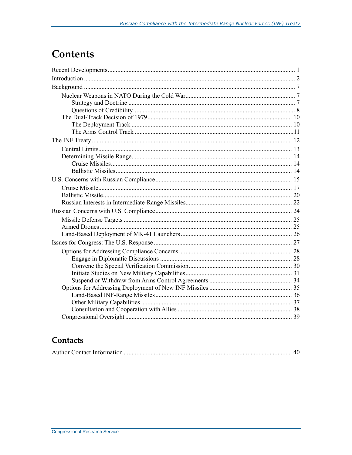## **Contents**

### Contacts

|--|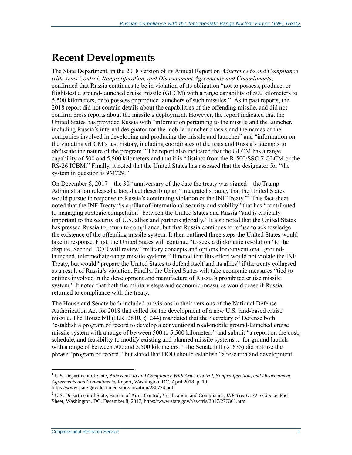## **Recent Developments**

The State Department, in the 2018 version of its Annual Report on *Adherence to and Compliance with Arms Control, Nonproliferation, and Disarmament Agreements and Commitments*, confirmed that Russia continues to be in violation of its obligation "not to possess, produce, or flight-test a ground-launched cruise missile (GLCM) with a range capability of 500 kilometers to 5,500 kilometers, or to possess or produce launchers of such missiles."<sup>1</sup> As in past reports, the 2018 report did not contain details about the capabilities of the offending missile, and did not confirm press reports about the missile's deployment. However, the report indicated that the United States has provided Russia with "information pertaining to the missile and the launcher, including Russia's internal designator for the mobile launcher chassis and the names of the companies involved in developing and producing the missile and launcher" and "information on the violating GLCM's test history, including coordinates of the tests and Russia's attempts to obfuscate the nature of the program." The report also indicated that the GLCM has a range capability of 500 and 5,500 kilometers and that it is "distinct from the R-500/SSC-7 GLCM or the RS-26 ICBM." Finally, it noted that the United States has assessed that the designator for "the system in question is 9M729."

On December 8, 2017—the  $30<sup>th</sup>$  anniversary of the date the treaty was signed—the Trump Administration released a fact sheet describing an "integrated strategy that the United States would pursue in response to Russia's continuing violation of the INF Treaty."<sup>2</sup> This fact sheet noted that the INF Treaty "is a pillar of international security and stability" that has "contributed to managing strategic competition" between the United States and Russia "and is critically important to the security of U.S. allies and partners globally." It also noted that the United States has pressed Russia to return to compliance, but that Russia continues to refuse to acknowledge the existence of the offending missile system. It then outlined three steps the United States would take in response. First, the United States will continue "to seek a diplomatic resolution" to the dispute. Second, DOD will review "military concepts and options for conventional, groundlaunched, intermediate-range missile systems." It noted that this effort would not violate the INF Treaty, but would "prepare the United States to defend itself and its allies" if the treaty collapsed as a result of Russia's violation. Finally, the United States will take economic measures "tied to entities involved in the development and manufacture of Russia's prohibited cruise missile system." It noted that both the military steps and economic measures would cease if Russia returned to compliance with the treaty.

The House and Senate both included provisions in their versions of the National Defense Authorization Act for 2018 that called for the development of a new U.S. land-based cruise missile. The House bill (H.R. 2810, §1244) mandated that the Secretary of Defense both "establish a program of record to develop a conventional road-mobile ground-launched cruise missile system with a range of between 500 to 5,500 kilometers" and submit "a report on the cost, schedule, and feasibility to modify existing and planned missile systems ... for ground launch with a range of between 500 and 5,500 kilometers." The Senate bill (§1635) did not use the phrase "program of record," but stated that DOD should establish "a research and development

<sup>1</sup> U,S. Department of State, *Adherence to and Compliance With Arms Control, Nonproliferation, and Disarmament Agreements and Commitments*, Report, Washington, DC, April 2018, p. 10, https://www.state.gov/documents/organization/280774.pdf

<sup>2</sup> U.S. Department of State, Bureau of Arms Control, Verification, and Compliance, *INF Treaty: At a Glance*, Fact Sheet, Washington, DC, December 8, 2017, https://www.state.gov/t/avc/rls/2017/276361.htm.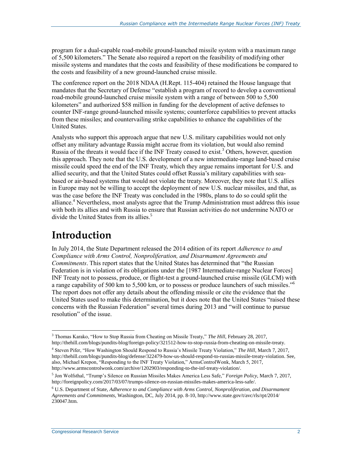program for a dual-capable road-mobile ground-launched missile system with a maximum range of 5,500 kilometers." The Senate also required a report on the feasibility of modifying other missile systems and mandates that the costs and feasibility of these modifications be compared to the costs and feasibility of a new ground-launched cruise missile.

The conference report on the 2018 NDAA (H.Rept. 115-404) retained the House language that mandates that the Secretary of Defense "establish a program of record to develop a conventional road-mobile ground-launched cruise missile system with a range of between 500 to 5,500 kilometers" and authorized \$58 million in funding for the development of active defenses to counter INF-range ground-launched missile systems; counterforce capabilities to prevent attacks from these missiles; and countervailing strike capabilities to enhance the capabilities of the United States.

Analysts who support this approach argue that new U.S. military capabilities would not only offset any military advantage Russia might accrue from its violation, but would also remind Russia of the threats it would face if the INF Treaty ceased to exist.<sup>3</sup> Others, however, question this approach. They note that the U.S. development of a new intermediate-range land-based cruise missile could speed the end of the INF Treaty, which they argue remains important for U.S. and allied security, and that the United States could offset Russia's military capabilities with seabased or air-based systems that would not violate the treaty. Moreover, they note that U.S. allies in Europe may not be willing to accept the deployment of new U.S. nuclear missiles, and that, as was the case before the INF Treaty was concluded in the 1980s, plans to do so could split the alliance.<sup>4</sup> Nevertheless, most analysts agree that the Trump Administration must address this issue with both its allies and with Russia to ensure that Russian activities do not undermine NATO or divide the United States from its allies.<sup>5</sup>

## **Introduction**

In July 2014, the State Department released the 2014 edition of its report *Adherence to and Compliance with Arms Control, Nonproliferation, and Disarmament Agreements and Commitments*. This report states that the United States has determined that "the Russian Federation is in violation of its obligations under the [1987 Intermediate-range Nuclear Forces] INF Treaty not to possess, produce, or flight-test a ground-launched cruise missile (GLCM) with a range capability of 500 km to 5,500 km, or to possess or produce launchers of such missiles."<sup>6</sup> The report does not offer any details about the offending missile or cite the evidence that the United States used to make this determination, but it does note that the United States "raised these concerns with the Russian Federation" several times during 2013 and "will continue to pursue resolution" of the issue.

 $\overline{a}$ <sup>3</sup> Thomas Karako, "How to Stop Russia from Cheating on Missile Treaty," *The Hill*, February 28, 2017, http://thehill.com/blogs/pundits-blog/foreign-policy/321512-how-to-stop-russia-from-cheating-on-missile-treaty.

<sup>4</sup> Steven Pifer, "How Washington Should Respond to Russia's Missile Treaty Violation," *The Hill*, March 7, 2017, http://thehill.com/blogs/pundits-blog/defense/322479-how-us-should-respond-to-russias-missile-treaty-violation. See, also, Michael Krepon, "Responding to the INF Treaty Violation," ArmsControlWonk, March 5, 2017, http://www.armscontrolwonk.com/archive/1202903/responding-to-the-inf-treaty-violation/.

<sup>5</sup> Jon Wolfsthal, "Trump's Silence on Russian Missiles Makes America Less Safe," *Foreign Policy*, March 7, 2017, http://foreignpolicy.com/2017/03/07/trumps-silence-on-russian-missiles-makes-america-less-safe/.

<sup>6</sup> U.S. Department of State, *Adherence to and Compliance with Arms Control, Nonproliferation, and Disarmament Agreements and Commitments*, Washington, DC, July 2014, pp. 8-10, http://www.state.gov/t/avc/rls/rpt/2014/ 230047.htm.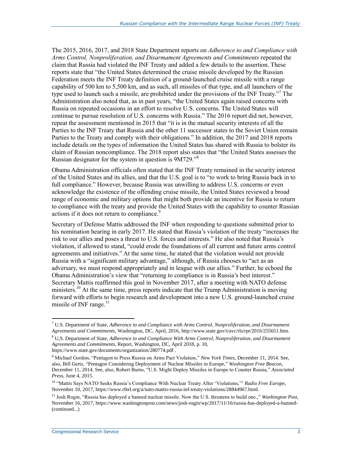The 2015, 2016, 2017, and 2018 State Department reports on *Adherence to and Compliance with Arms Control, Nonproliferation, and Disarmament Agreements and Commitments* repeated the claim that Russia had violated the INF Treaty and added a few details to the assertion. These reports state that "the United States determined the cruise missile developed by the Russian Federation meets the INF Treaty definition of a ground-launched cruise missile with a range capability of 500 km to 5,500 km, and as such, all missiles of that type, and all launchers of the type used to launch such a missile, are prohibited under the provisions of the INF Treaty."<sup>7</sup> The Administration also noted that, as in past years, "the United States again raised concerns with Russia on repeated occasions in an effort to resolve U.S. concerns. The United States will continue to pursue resolution of U.S. concerns with Russia." The 2016 report did not, however, repeat the assessment mentioned in 2015 that "it is in the mutual security interests of all the Parties to the INF Treaty that Russia and the other 11 successor states to the Soviet Union remain Parties to the Treaty and comply with their obligations." In addition, the 2017 and 2018 reports include details on the types of information the United States has shared with Russia to bolster its claim of Russian noncompliance. The 2018 report also states that "the United States assesses the Russian designator for the system in question is 9M729."<sup>8</sup>

Obama Administration officials often stated that the INF Treaty remained in the security interest of the United States and its allies, and that the U.S. goal is to "to work to bring Russia back in to full compliance." However, because Russia was unwilling to address U.S. concerns or even acknowledge the existence of the offending cruise missile, the United States reviewed a broad range of economic and military options that might both provide an incentive for Russia to return to compliance with the treaty and provide the United States with the capability to counter Russian actions if it does not return to compliance.<sup>9</sup>

Secretary of Defense Mattis addressed the INF when responding to questions submitted prior to his nomination hearing in early 2017. He stated that Russia's violation of the treaty "increases the risk to our allies and poses a threat to U.S. forces and interests." He also noted that Russia's violation, if allowed to stand, "could erode the foundations of all current and future arms control agreements and initiatives." At the same time, he stated that the violation would not provide Russia with a "significant military advantage," although, if Russia chooses to "act as an adversary, we must respond appropriately and in league with our allies." Further, he echoed the Obama Administration's view that "returning to compliance is in Russia's best interest." Secretary Mattis reaffirmed this goal in November 2017, after a meeting with NATO defense ministers.<sup>10</sup> At the same time, press reports indicate that the Trump Administration is moving forward with efforts to begin research and development into a new U.S. ground-launched cruise missile of INF range. $^{11}$ 

<sup>7</sup> U.S. Department of State, *Adherence to and Compliance with Arms Control, Nonproliferation, and Disarmament Agreements and Commitments*, Washington, DC, April, 2016, http://www.state.gov/t/avc/rls/rpt/2016/255651.htm.

<sup>8</sup> U,S. Department of State, *Adherence to and Compliance With Arms Control, Nonproliferation, and Disarmament Agreements and Commitments*, Report, Washington, DC, April 2018, p. 10, https://www.state.gov/documents/organization/280774.pdf .

<sup>9</sup> Michael Gordon, "Pentagon to Press Russia on Arms Pact Violation," *New York Times*, December 11, 2014. See,

also, Bill Gertz, "Pentagon Considering Deployment of Nuclear Missiles in Europe," *Washington Free Beacon,*  December 11, 2014. See, also, Robert Burns, "U.S. Might Deploy Missiles in Europe to Counter Russia," *Associated Press*, June 4, 2015.

<sup>10</sup> "Mattis Says NATO Seeks Russia's Compliance With Nuclear Treaty After 'Violations,'" *Radio Free Europe*, November 10, 2017, https://www.rferl.org/a/nato-mattis-russia-inf-treaty-violations/28844967.html.

<sup>&</sup>lt;sup>11</sup> Josh Rogin, "Russia has deployed a banned nuclear missile. Now the U.S. threatens to build one.," *Washington Post*, November 16, 2017, https://www.washingtonpost.com/news/josh-rogin/wp/2017/11/16/russia-has-deployed-a-banned- (continued...)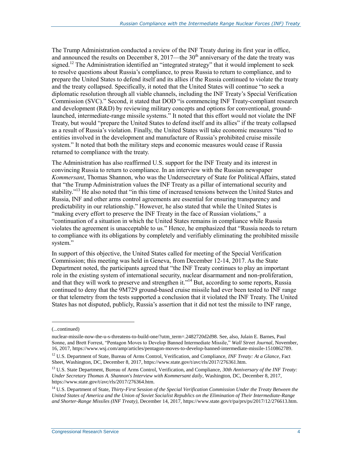The Trump Administration conducted a review of the INF Treaty during its first year in office, and announced the results on December 8, 2017—the  $30<sup>th</sup>$  anniversary of the date the treaty was signed.<sup>12</sup> The Administration identified an "integrated strategy" that it would implement to seek to resolve questions about Russia's compliance, to press Russia to return to compliance, and to prepare the United States to defend itself and its allies if the Russia continued to violate the treaty and the treaty collapsed. Specifically, it noted that the United States will continue "to seek a diplomatic resolution through all viable channels, including the INF Treaty's Special Verification Commission (SVC)." Second, it stated that DOD "is commencing INF Treaty-compliant research and development (R&D) by reviewing military concepts and options for conventional, groundlaunched, intermediate-range missile systems." It noted that this effort would not violate the INF Treaty, but would "prepare the United States to defend itself and its allies" if the treaty collapsed as a result of Russia's violation. Finally, the United States will take economic measures "tied to entities involved in the development and manufacture of Russia's prohibited cruise missile system." It noted that both the military steps and economic measures would cease if Russia returned to compliance with the treaty.

The Administration has also reaffirmed U.S. support for the INF Treaty and its interest in convincing Russia to return to compliance. In an interview with the Russian newspaper *Kommersant*, Thomas Shannon, who was the Undersecretary of State for Political Affairs, stated that "the Trump Administration values the INF Treaty as a pillar of international security and stability."<sup>13</sup> He also noted that "in this time of increased tensions between the United States and Russia, INF and other arms control agreements are essential for ensuring transparency and predictability in our relationship." However, he also stated that while the United States is "making every effort to preserve the INF Treaty in the face of Russian violations," a "continuation of a situation in which the United States remains in compliance while Russia violates the agreement is unacceptable to us." Hence, he emphasized that "Russia needs to return to compliance with its obligations by completely and verifiably eliminating the prohibited missile system."

In support of this objective, the United States called for meeting of the Special Verification Commission; this meeting was held in Geneva, from December 12-14, 2017. As the State Department noted, the participants agreed that "the INF Treaty continues to play an important role in the existing system of international security, nuclear disarmament and non-proliferation, and that they will work to preserve and strengthen it."<sup>14</sup> But, according to some reports, Russia continued to deny that the 9M729 ground-based cruise missile had ever been tested to INF range or that telemetry from the tests supported a conclusion that it violated the INF Treaty. The United States has not disputed, publicly, Russia's assertion that it did not test the missile to INF range,

<sup>(...</sup>continued)

nuclear-missile-now-the-u-s-threatens-to-build-one/?utm\_term=.2482720d2d98. See, also, Julain E. Barnes, Paul Sonne, and Brett Forrest, "Pentagon Moves to Develop Banned Intermediate Missile," *Wall Street Journal,* November, 16, 2017, https://www.wsj.com/amp/articles/pentagon-moves-to-develop-banned-intermediate-missile-1510862789.

<sup>12</sup> U.S. Department of State, Bureau of Arms Control, Verification, and Compliance, *INF Treaty: At a Glance*, Fact Sheet, Washington, DC, December 8, 2017, https://www.state.gov/t/avc/rls/2017/276361.htm.

<sup>13</sup> U.S. State Department, Bureau of Arms Control, Verification, and Compliance, *30th Anniversary of the INF Treaty: Under Secretary Thomas A. Shannon's Interview with Kommersant daily*, Washington, DC, December 8, 2017, https://www.state.gov/t/avc/rls/2017/276364.htm.

<sup>14</sup> U.S. Department of State, *Thirty-First Session of the Special Verification Commission Under the Treaty Between the United States of America and the Union of Soviet Socialist Republics on the Elimination of Their Intermediate-Range and Shorter-Range Missiles (INF Treaty)*, December 14, 2017, https://www.state.gov/r/pa/prs/ps/2017/12/276613.htm.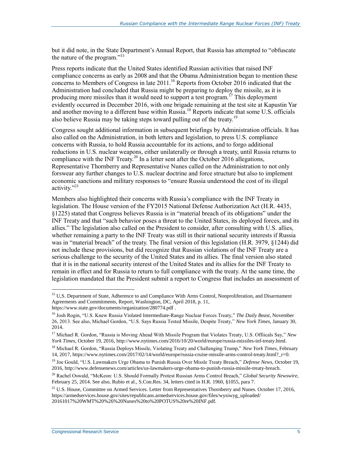but it did note, in the State Department's Annual Report, that Russia has attempted to "obfuscate the nature of the program."<sup>15</sup>

Press reports indicate that the United States identified Russian activities that raised INF compliance concerns as early as 2008 and that the Obama Administration began to mention these concerns to Members of Congress in late  $2011$ .<sup>16</sup> Reports from October 2016 indicated that the Administration had concluded that Russia might be preparing to deploy the missile, as it is producing more missiles than it would need to support a test program.<sup>17</sup> This deployment evidently occurred in December 2016, with one brigade remaining at the test site at Kapustin Yar and another moving to a different base within Russia.<sup>18</sup> Reports indicate that some U.S. officials also believe Russia may be taking steps toward pulling out of the treaty.<sup>19</sup>

Congress sought additional information in subsequent briefings by Administration officials. It has also called on the Administration, in both letters and legislation, to press U.S. compliance concerns with Russia, to hold Russia accountable for its actions, and to forgo additional reductions in U.S. nuclear weapons, either unilaterally or through a treaty, until Russia returns to compliance with the INF Treaty.<sup>20</sup> In a letter sent after the October 2016 allegations, Representative Thornberry and Representative Nunes called on the Administration to not only forswear any further changes to U.S. nuclear doctrine and force structure but also to implement economic sanctions and military responses to "ensure Russia understood the cost of its illegal activity."<sup>21</sup>

Members also highlighted their concerns with Russia's compliance with the INF Treaty in legislation. The House version of the FY2015 National Defense Authorization Act (H.R. 4435, §1225) stated that Congress believes Russia is in "material breach of its obligations" under the INF Treaty and that "such behavior poses a threat to the United States, its deployed forces, and its allies." The legislation also called on the President to consider, after consulting with U.S. allies, whether remaining a party to the INF Treaty was still in their national security interests if Russia was in "material breach" of the treaty. The final version of this legislation (H.R. 3979, §1244) did not include these provisions, but did recognize that Russian violations of the INF Treaty are a serious challenge to the security of the United States and its allies. The final version also stated that it is in the national security interest of the United States and its allies for the INF Treaty to remain in effect and for Russia to return to full compliance with the treaty. At the same time, the legislation mandated that the President submit a report to Congress that includes an assessment of

<sup>&</sup>lt;sup>15</sup> U,S. Department of State, Adherence to and Compliance With Arms Control, Nonproliferation, and Disarmament Agreements and Commitments, Report, Washington, DC, April 2018, p. 11, https://www.state.gov/documents/organization/280774.pdf .

<sup>16</sup> Josh Rogin, "U.S. Knew Russia Violated Intermediate-Range Nuclear Forces Treaty," *The Daily Beast*, November 26, 2013. See also, Michael Gordon, "U.S. Says Russia Tested Missile, Despite Treaty," *New York Times*, January 30, 2014.

<sup>17</sup> Michael R. Gordon, "Russia is Moving Ahead With Missile Program that Violates Treaty, U.S. Offiicals Say," *New York Times*, October 19, 2016, http://www.nytimes.com/2016/10/20/world/europe/russia-missiles-inf-treaty.html.

<sup>18</sup> Michael R. Gordon, "Russia Deploys Missile, Violating Treaty and Challenging Trump," *New York Times*, February 14, 2017, https://www.nytimes.com/2017/02/14/world/europe/russia-cruise-missile-arms-control-treaty.html?\_r=0.

<sup>19</sup> Joe Gould, "U.S. Lawmakers Urge Obama to Punish Russia Over Missle Treaty Breach," *Defense News*, October 19, 2016, http://www.defensenews.com/articles/us-lawmakers-urge-obama-to-punish-russia-missile-treaty-breach.

<sup>20</sup> Rachel Oswald, "McKeon: U.S. Should Formally Protest Russian Arms Control Breach," *Global Security Newswire*, February 25, 2014. See also, Rubio et al., S.Con.Res. 34, letters cited in H.R. 1960, §1055, para 7.

 $^{21}$  U.S. House, Committee on Armed Services. Letter from Representatives Thornberry and Nunes. October 17, 2016, https://armedservices.house.gov/sites/republicans.armedservices.house.gov/files/wysiwyg\_uploaded/ 20161017%20WMT%20%26%20Nunes%20to%20POTUS%20re%20INF.pdf.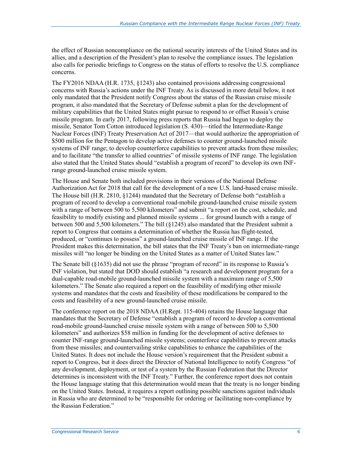the effect of Russian noncompliance on the national security interests of the United States and its allies, and a description of the President's plan to resolve the compliance issues. The legislation also calls for periodic briefings to Congress on the status of efforts to resolve the U.S. compliance concerns.

The FY2016 NDAA (H.R. 1735, §1243) also contained provisions addressing congressional concerns with Russia's actions under the INF Treaty. As is discussed in more detail below, it not only mandated that the President notify Congress about the status of the Russian cruise missile program, it also mandated that the Secretary of Defense submit a plan for the development of military capabilities that the United States might pursue to respond to or offset Russia's cruise missile program. In early 2017, following press reports that Russia had begun to deploy the missile, Senator Tom Cotton introduced legislation (S. 430)—titled the Intermediate-Range Nuclear Forces (INF) Treaty Preservation Act of 2017—that would authorize the appropriation of \$500 million for the Pentagon to develop active defenses to counter ground-launched missile systems of INF range; to develop counterforce capabilities to prevent attacks from these missiles; and to facilitate "the transfer to allied countries" of missile systems of INF range. The legislation also stated that the United States should "establish a program of record" to develop its own INFrange ground-launched cruise missile system.

The House and Senate both included provisions in their versions of the National Defense Authorization Act for 2018 that call for the development of a new U.S. land-based cruise missile. The House bill (H.R. 2810, §1244) mandated that the Secretary of Defense both "establish a program of record to develop a conventional road-mobile ground-launched cruise missile system with a range of between 500 to 5,500 kilometers" and submit "a report on the cost, schedule, and feasibility to modify existing and planned missile systems ... for ground launch with a range of between 500 and 5,500 kilometers." The bill (§1245) also mandated that the President submit a report to Congress that contains a determination of whether the Russia has flight-tested, produced, or "continues to possess" a ground-launched cruise missile of INF range. If the President makes this determination, the bill states that the INF Treaty's ban on intermediate-range missiles will "no longer be binding on the United States as a matter of United States law."

The Senate bill (§1635) did not use the phrase "program of record" in its response to Russia's INF violation, but stated that DOD should establish "a research and development program for a dual-capable road-mobile ground-launched missile system with a maximum range of 5,500 kilometers." The Senate also required a report on the feasibility of modifying other missile systems and mandates that the costs and feasibility of these modifications be compared to the costs and feasibility of a new ground-launched cruise missile.

The conference report on the 2018 NDAA (H.Rept. 115-404) retains the House language that mandates that the Secretary of Defense "establish a program of record to develop a conventional road-mobile ground-launched cruise missile system with a range of between 500 to 5,500 kilometers" and authorizes \$58 million in funding for the development of active defenses to counter INF-range ground-launched missile systems; counterforce capabilities to prevent attacks from these missiles; and countervailing strike capabilities to enhance the capabilities of the United States. It does not include the House version's requirement that the President submit a report to Congress, but it does direct the Director of National Intelligence to notify Congress "of any development, deployment, or test of a system by the Russian Federation that the Director determines is inconsistent with the INF Treaty." Further, the conference report does not contain the House language stating that this determination would mean that the treaty is no longer binding on the United States. Instead, it requires a report outlining possible sanctions against individuals in Russia who are determined to be "responsible for ordering or facilitating non-compliance by the Russian Federation."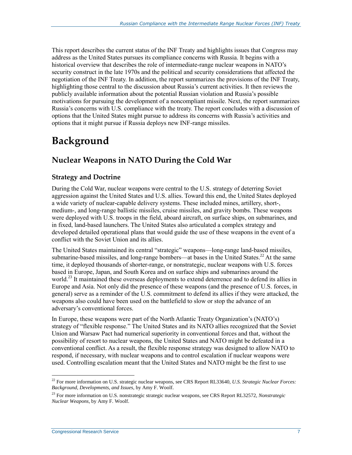This report describes the current status of the INF Treaty and highlights issues that Congress may address as the United States pursues its compliance concerns with Russia. It begins with a historical overview that describes the role of intermediate-range nuclear weapons in NATO's security construct in the late 1970s and the political and security considerations that affected the negotiation of the INF Treaty. In addition, the report summarizes the provisions of the INF Treaty, highlighting those central to the discussion about Russia's current activities. It then reviews the publicly available information about the potential Russian violation and Russia's possible motivations for pursuing the development of a noncompliant missile. Next, the report summarizes Russia's concerns with U.S. compliance with the treaty. The report concludes with a discussion of options that the United States might pursue to address its concerns with Russia's activities and options that it might pursue if Russia deploys new INF-range missiles.

## **Background**

### **Nuclear Weapons in NATO During the Cold War**

#### **Strategy and Doctrine**

During the Cold War, nuclear weapons were central to the U.S. strategy of deterring Soviet aggression against the United States and U.S. allies. Toward this end, the United States deployed a wide variety of nuclear-capable delivery systems. These included mines, artillery, short-, medium-, and long-range ballistic missiles, cruise missiles, and gravity bombs. These weapons were deployed with U.S. troops in the field, aboard aircraft, on surface ships, on submarines, and in fixed, land-based launchers. The United States also articulated a complex strategy and developed detailed operational plans that would guide the use of these weapons in the event of a conflict with the Soviet Union and its allies.

The United States maintained its central "strategic" weapons—long-range land-based missiles, submarine-based missiles, and long-range bombers—at bases in the United States.<sup>22</sup> At the same time, it deployed thousands of shorter-range, or nonstrategic, nuclear weapons with U.S. forces based in Europe, Japan, and South Korea and on surface ships and submarines around the world.<sup>23</sup> It maintained these overseas deployments to extend deterrence and to defend its allies in Europe and Asia. Not only did the presence of these weapons (and the presence of U.S. forces, in general) serve as a reminder of the U.S. commitment to defend its allies if they were attacked, the weapons also could have been used on the battlefield to slow or stop the advance of an adversary's conventional forces.

In Europe, these weapons were part of the North Atlantic Treaty Organization's (NATO's) strategy of "flexible response." The United States and its NATO allies recognized that the Soviet Union and Warsaw Pact had numerical superiority in conventional forces and that, without the possibility of resort to nuclear weapons, the United States and NATO might be defeated in a conventional conflict. As a result, the flexible response strategy was designed to allow NATO to respond, if necessary, with nuclear weapons and to control escalation if nuclear weapons were used. Controlling escalation meant that the United States and NATO might be the first to use

<sup>22</sup> For more information on U.S. strategic nuclear weapons, see CRS Report RL33640, *U.S. Strategic Nuclear Forces: Background, Developments, and Issues*, by Amy F. Woolf.

<sup>23</sup> For more information on U.S. nonstrategic strategic nuclear weapons, see CRS Report RL32572, *Nonstrategic Nuclear Weapons*, by Amy F. Woolf.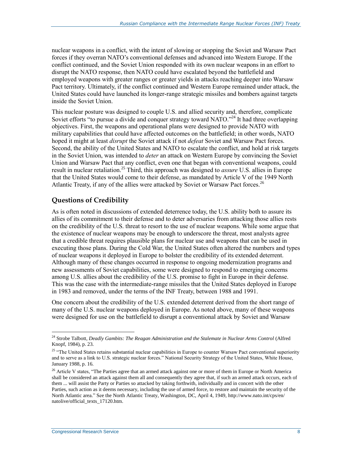nuclear weapons in a conflict, with the intent of slowing or stopping the Soviet and Warsaw Pact forces if they overran NATO's conventional defenses and advanced into Western Europe. If the conflict continued, and the Soviet Union responded with its own nuclear weapons in an effort to disrupt the NATO response, then NATO could have escalated beyond the battlefield and employed weapons with greater ranges or greater yields in attacks reaching deeper into Warsaw Pact territory. Ultimately, if the conflict continued and Western Europe remained under attack, the United States could have launched its longer-range strategic missiles and bombers against targets inside the Soviet Union.

This nuclear posture was designed to couple U.S. and allied security and, therefore, complicate Soviet efforts "to pursue a divide and conquer strategy toward NATO."<sup>24</sup> It had three overlapping objectives. First, the weapons and operational plans were designed to provide NATO with military capabilities that could have affected outcomes on the battlefield; in other words, NATO hoped it might at least *disrupt* the Soviet attack if not *defeat* Soviet and Warsaw Pact forces. Second, the ability of the United States and NATO to escalate the conflict, and hold at risk targets in the Soviet Union, was intended to *deter* an attack on Western Europe by convincing the Soviet Union and Warsaw Pact that any conflict, even one that began with conventional weapons, could result in nuclear retaliation.<sup>25</sup> Third, this approach was designed to *assure* U.S. allies in Europe that the United States would come to their defense, as mandated by Article V of the 1949 North Atlantic Treaty, if any of the allies were attacked by Soviet or Warsaw Pact forces.<sup>26</sup>

#### **Questions of Credibility**

As is often noted in discussions of extended deterrence today, the U.S. ability both to assure its allies of its commitment to their defense and to deter adversaries from attacking those allies rests on the credibility of the U.S. threat to resort to the use of nuclear weapons. While some argue that the existence of nuclear weapons may be enough to underscore the threat, most analysts agree that a credible threat requires plausible plans for nuclear use and weapons that can be used in executing those plans. During the Cold War, the United States often altered the numbers and types of nuclear weapons it deployed in Europe to bolster the credibility of its extended deterrent. Although many of these changes occurred in response to ongoing modernization programs and new assessments of Soviet capabilities, some were designed to respond to emerging concerns among U.S. allies about the credibility of the U.S. promise to fight in Europe in their defense. This was the case with the intermediate-range missiles that the United States deployed in Europe in 1983 and removed, under the terms of the INF Treaty, between 1988 and 1991.

One concern about the credibility of the U.S. extended deterrent derived from the short range of many of the U.S. nuclear weapons deployed in Europe. As noted above, many of these weapons were designed for use on the battlefield to disrupt a conventional attack by Soviet and Warsaw

 $\overline{a}$ <sup>24</sup> Strobe Talbott, *Deadly Gambits: The Reagan Administration and the Stalemate in Nuclear Arms Control* (Alfred Knopf, 1984), p. 23.

<sup>&</sup>lt;sup>25</sup> "The United States retains substantial nuclear capabilities in Europe to counter Warsaw Pact conventional superiority and to serve as a link to U.S. strategic nuclear forces." National Security Strategy of the United States, White House, January 1988, p. 16.

<sup>&</sup>lt;sup>26</sup> Article V states, "The Parties agree that an armed attack against one or more of them in Europe or North America shall be considered an attack against them all and consequently they agree that, if such an armed attack occurs, each of them ... will assist the Party or Parties so attacked by taking forthwith, individually and in concert with the other Parties, such action as it deems necessary, including the use of armed force, to restore and maintain the security of the North Atlantic area." See the North Atlantic Treaty, Washington, DC, April 4, 1949, http://www.nato.int/cps/en/ natolive/official\_texts\_17120.htm.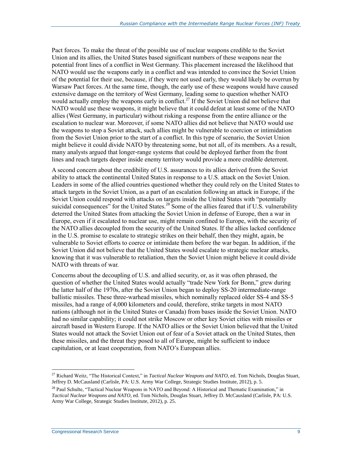Pact forces. To make the threat of the possible use of nuclear weapons credible to the Soviet Union and its allies, the United States based significant numbers of these weapons near the potential front lines of a conflict in West Germany. This placement increased the likelihood that NATO would use the weapons early in a conflict and was intended to convince the Soviet Union of the potential for their use, because, if they were not used early, they would likely be overrun by Warsaw Pact forces. At the same time, though, the early use of these weapons would have caused extensive damage on the territory of West Germany, leading some to question whether NATO would actually employ the weapons early in conflict.<sup>27</sup> If the Soviet Union did not believe that NATO would use these weapons, it might believe that it could defeat at least some of the NATO allies (West Germany, in particular) without risking a response from the entire alliance or the escalation to nuclear war. Moreover, if some NATO allies did not believe that NATO would use the weapons to stop a Soviet attack, such allies might be vulnerable to coercion or intimidation from the Soviet Union prior to the start of a conflict. In this type of scenario, the Soviet Union might believe it could divide NATO by threatening some, but not all, of its members. As a result, many analysts argued that longer-range systems that could be deployed farther from the front lines and reach targets deeper inside enemy territory would provide a more credible deterrent.

A second concern about the credibility of U.S. assurances to its allies derived from the Soviet ability to attack the continental United States in response to a U.S. attack on the Soviet Union. Leaders in some of the allied countries questioned whether they could rely on the United States to attack targets in the Soviet Union, as a part of an escalation following an attack in Europe, if the Soviet Union could respond with attacks on targets inside the United States with "potentially suicidal consequences" for the United States.<sup>28</sup> Some of the allies feared that if U.S. vulnerability deterred the United States from attacking the Soviet Union in defense of Europe, then a war in Europe, even if it escalated to nuclear use, might remain confined to Europe, with the security of the NATO allies decoupled from the security of the United States. If the allies lacked confidence in the U.S. promise to escalate to strategic strikes on their behalf, then they might, again, be vulnerable to Soviet efforts to coerce or intimidate them before the war began. In addition, if the Soviet Union did not believe that the United States would escalate to strategic nuclear attacks, knowing that it was vulnerable to retaliation, then the Soviet Union might believe it could divide NATO with threats of war.

Concerns about the decoupling of U.S. and allied security, or, as it was often phrased, the question of whether the United States would actually "trade New York for Bonn," grew during the latter half of the 1970s, after the Soviet Union began to deploy SS-20 intermediate-range ballistic missiles. These three-warhead missiles, which nominally replaced older SS-4 and SS-5 missiles, had a range of 4,000 kilometers and could, therefore, strike targets in most NATO nations (although not in the United States or Canada) from bases inside the Soviet Union. NATO had no similar capability; it could not strike Moscow or other key Soviet cities with missiles or aircraft based in Western Europe. If the NATO allies or the Soviet Union believed that the United States would not attack the Soviet Union out of fear of a Soviet attack on the United States, then these missiles, and the threat they posed to all of Europe, might be sufficient to induce capitulation, or at least cooperation, from NATO's European allies.

<sup>27</sup> Richard Weitz, "The Historical Context," in *Tactical Nuclear Weapons and NATO*, ed. Tom Nichols, Douglas Stuart, Jeffrey D. McCausland (Carlisle, PA: U.S. Army War College, Strategic Studies Institute, 2012), p. 5.

<sup>&</sup>lt;sup>28</sup> Paul Schulte, "Tactical Nuclear Weapons in NATO and Beyond: A Historical and Thematic Examination," in *Tactical Nuclear Weapons and NATO*, ed. Tom Nichols, Douglas Stuart, Jeffrey D. McCausland (Carlisle, PA: U.S. Army War College, Strategic Studies Institute, 2012), p. 25.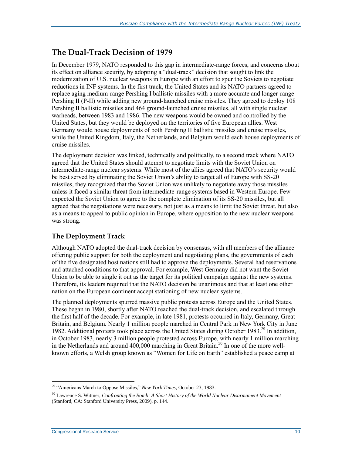### **The Dual-Track Decision of 1979**

In December 1979, NATO responded to this gap in intermediate-range forces, and concerns about its effect on alliance security, by adopting a "dual-track" decision that sought to link the modernization of U.S. nuclear weapons in Europe with an effort to spur the Soviets to negotiate reductions in INF systems. In the first track, the United States and its NATO partners agreed to replace aging medium-range Pershing I ballistic missiles with a more accurate and longer-range Pershing II (P-II) while adding new ground-launched cruise missiles. They agreed to deploy 108 Pershing II ballistic missiles and 464 ground-launched cruise missiles, all with single nuclear warheads, between 1983 and 1986. The new weapons would be owned and controlled by the United States, but they would be deployed on the territories of five European allies. West Germany would house deployments of both Pershing II ballistic missiles and cruise missiles, while the United Kingdom, Italy, the Netherlands, and Belgium would each house deployments of cruise missiles.

The deployment decision was linked, technically and politically, to a second track where NATO agreed that the United States should attempt to negotiate limits with the Soviet Union on intermediate-range nuclear systems. While most of the allies agreed that NATO's security would be best served by eliminating the Soviet Union's ability to target all of Europe with SS-20 missiles, they recognized that the Soviet Union was unlikely to negotiate away those missiles unless it faced a similar threat from intermediate-range systems based in Western Europe. Few expected the Soviet Union to agree to the complete elimination of its SS-20 missiles, but all agreed that the negotiations were necessary, not just as a means to limit the Soviet threat, but also as a means to appeal to public opinion in Europe, where opposition to the new nuclear weapons was strong.

#### **The Deployment Track**

Although NATO adopted the dual-track decision by consensus, with all members of the alliance offering public support for both the deployment and negotiating plans, the governments of each of the five designated host nations still had to approve the deployments. Several had reservations and attached conditions to that approval. For example, West Germany did not want the Soviet Union to be able to single it out as the target for its political campaign against the new systems. Therefore, its leaders required that the NATO decision be unanimous and that at least one other nation on the European continent accept stationing of new nuclear systems.

The planned deployments spurred massive public protests across Europe and the United States. These began in 1980, shortly after NATO reached the dual-track decision, and escalated through the first half of the decade. For example, in late 1981, protests occurred in Italy, Germany, Great Britain, and Belgium. Nearly 1 million people marched in Central Park in New York City in June 1982. Additional protests took place across the United States during October 1983.<sup>29</sup> In addition, in October 1983, nearly 3 million people protested across Europe, with nearly 1 million marching in the Netherlands and around  $400,000$  marching in Great Britain.<sup>30</sup> In one of the more wellknown efforts, a Welsh group known as "Women for Life on Earth" established a peace camp at

 $\overline{a}$ <sup>29</sup> "Americans March to Oppose Missiles," *New York Times*, October 23, 1983.

<sup>30</sup> Lawrence S. Wittner, *Confronting the Bomb: A Short History of the World Nuclear Disarmament Movement* (Stanford, CA: Stanford University Press, 2009), p. 144.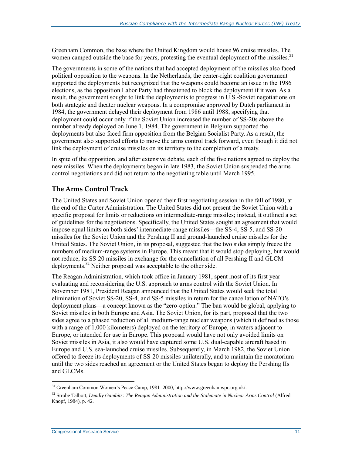Greenham Common, the base where the United Kingdom would house 96 cruise missiles. The women camped outside the base for years, protesting the eventual deployment of the missiles.<sup>31</sup>

The governments in some of the nations that had accepted deployment of the missiles also faced political opposition to the weapons. In the Netherlands, the center-right coalition government supported the deployments but recognized that the weapons could become an issue in the 1986 elections, as the opposition Labor Party had threatened to block the deployment if it won. As a result, the government sought to link the deployments to progress in U.S.-Soviet negotiations on both strategic and theater nuclear weapons. In a compromise approved by Dutch parliament in 1984, the government delayed their deployment from 1986 until 1988, specifying that deployment could occur only if the Soviet Union increased the number of SS-20s above the number already deployed on June 1, 1984. The government in Belgium supported the deployments but also faced firm opposition from the Belgian Socialist Party. As a result, the government also supported efforts to move the arms control track forward, even though it did not link the deployment of cruise missiles on its territory to the completion of a treaty.

In spite of the opposition, and after extensive debate, each of the five nations agreed to deploy the new missiles. When the deployments began in late 1983, the Soviet Union suspended the arms control negotiations and did not return to the negotiating table until March 1995.

#### **The Arms Control Track**

The United States and Soviet Union opened their first negotiating session in the fall of 1980, at the end of the Carter Administration. The United States did not present the Soviet Union with a specific proposal for limits or reductions on intermediate-range missiles; instead, it outlined a set of guidelines for the negotiations. Specifically, the United States sought an agreement that would impose equal limits on both sides' intermediate-range missiles—the SS-4, SS-5, and SS-20 missiles for the Soviet Union and the Pershing II and ground-launched cruise missiles for the United States. The Soviet Union, in its proposal, suggested that the two sides simply freeze the numbers of medium-range systems in Europe. This meant that it would stop deploying, but would not reduce, its SS-20 missiles in exchange for the cancellation of all Pershing II and GLCM deployments.<sup>32</sup> Neither proposal was acceptable to the other side.

The Reagan Administration, which took office in January 1981, spent most of its first year evaluating and reconsidering the U.S. approach to arms control with the Soviet Union. In November 1981, President Reagan announced that the United States would seek the total elimination of Soviet SS-20, SS-4, and SS-5 missiles in return for the cancellation of NATO's deployment plans—a concept known as the "zero-option." The ban would be global, applying to Soviet missiles in both Europe and Asia. The Soviet Union, for its part, proposed that the two sides agree to a phased reduction of all medium-range nuclear weapons (which it defined as those with a range of 1,000 kilometers) deployed on the territory of Europe, in waters adjacent to Europe, or intended for use in Europe. This proposal would have not only avoided limits on Soviet missiles in Asia, it also would have captured some U.S. dual-capable aircraft based in Europe and U.S. sea-launched cruise missiles. Subsequently, in March 1982, the Soviet Union offered to freeze its deployments of SS-20 missiles unilaterally, and to maintain the moratorium until the two sides reached an agreement or the United States began to deploy the Pershing IIs and GLCMs.

<sup>31</sup> Greenham Common Women's Peace Camp, 1981–2000, http://www.greenhamwpc.org.uk/.

<sup>&</sup>lt;sup>32</sup> Strobe Talbott, *Deadly Gambits: The Reagan Administration and the Stalemate in Nuclear Arms Control* (Alfred Knopf, 1984), p. 42.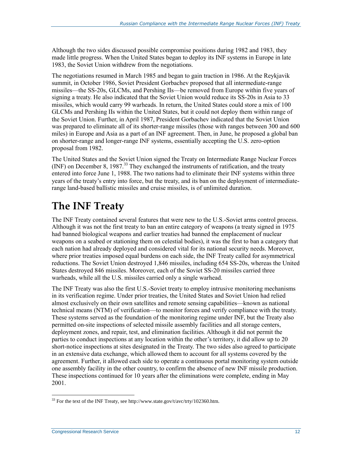Although the two sides discussed possible compromise positions during 1982 and 1983, they made little progress. When the United States began to deploy its INF systems in Europe in late 1983, the Soviet Union withdrew from the negotiations.

The negotiations resumed in March 1985 and began to gain traction in 1986. At the Reykjavik summit, in October 1986, Soviet President Gorbachev proposed that all intermediate-range missiles—the SS-20s, GLCMs, and Pershing IIs—be removed from Europe within five years of signing a treaty. He also indicated that the Soviet Union would reduce its SS-20s in Asia to 33 missiles, which would carry 99 warheads. In return, the United States could store a mix of 100 GLCMs and Pershing IIs within the United States, but it could not deploy them within range of the Soviet Union. Further, in April 1987, President Gorbachev indicated that the Soviet Union was prepared to eliminate all of its shorter-range missiles (those with ranges between 300 and 600 miles) in Europe and Asia as a part of an INF agreement. Then, in June, he proposed a global ban on shorter-range and longer-range INF systems, essentially accepting the U.S. zero-option proposal from 1982.

The United States and the Soviet Union signed the Treaty on Intermediate Range Nuclear Forces (INF) on December 8, 1987.<sup>33</sup> They exchanged the instruments of ratification, and the treaty entered into force June 1, 1988. The two nations had to eliminate their INF systems within three years of the treaty's entry into force, but the treaty, and its ban on the deployment of intermediaterange land-based ballistic missiles and cruise missiles, is of unlimited duration.

## **The INF Treaty**

The INF Treaty contained several features that were new to the U.S.-Soviet arms control process. Although it was not the first treaty to ban an entire category of weapons (a treaty signed in 1975 had banned biological weapons and earlier treaties had banned the emplacement of nuclear weapons on a seabed or stationing them on celestial bodies), it was the first to ban a category that each nation had already deployed and considered vital for its national security needs. Moreover, where prior treaties imposed equal burdens on each side, the INF Treaty called for asymmetrical reductions. The Soviet Union destroyed 1,846 missiles, including 654 SS-20s, whereas the United States destroyed 846 missiles. Moreover, each of the Soviet SS-20 missiles carried three warheads, while all the U.S. missiles carried only a single warhead.

The INF Treaty was also the first U.S.-Soviet treaty to employ intrusive monitoring mechanisms in its verification regime. Under prior treaties, the United States and Soviet Union had relied almost exclusively on their own satellites and remote sensing capabilities—known as national technical means (NTM) of verification—to monitor forces and verify compliance with the treaty. These systems served as the foundation of the monitoring regime under INF, but the Treaty also permitted on-site inspections of selected missile assembly facilities and all storage centers, deployment zones, and repair, test, and elimination facilities. Although it did not permit the parties to conduct inspections at any location within the other's territory, it did allow up to 20 short-notice inspections at sites designated in the Treaty. The two sides also agreed to participate in an extensive data exchange, which allowed them to account for all systems covered by the agreement. Further, it allowed each side to operate a continuous portal monitoring system outside one assembly facility in the other country, to confirm the absence of new INF missile production. These inspections continued for 10 years after the eliminations were complete, ending in May 2001.

 $\overline{a}$  $33$  For the text of the INF Treaty, see http://www.state.gov/t/avc/trty/102360.htm.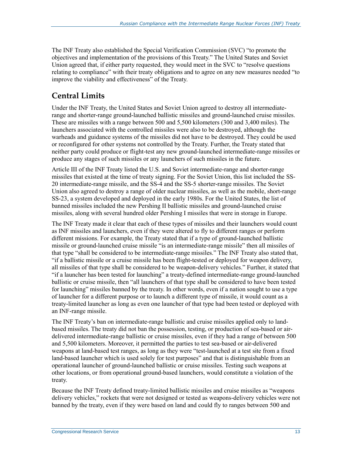The INF Treaty also established the Special Verification Commission (SVC) "to promote the objectives and implementation of the provisions of this Treaty." The United States and Soviet Union agreed that, if either party requested, they would meet in the SVC to "resolve questions relating to compliance" with their treaty obligations and to agree on any new measures needed "to improve the viability and effectiveness" of the Treaty.

## **Central Limits**

Under the INF Treaty, the United States and Soviet Union agreed to destroy all intermediaterange and shorter-range ground-launched ballistic missiles and ground-launched cruise missiles. These are missiles with a range between 500 and 5,500 kilometers (300 and 3,400 miles). The launchers associated with the controlled missiles were also to be destroyed, although the warheads and guidance systems of the missiles did not have to be destroyed. They could be used or reconfigured for other systems not controlled by the Treaty. Further, the Treaty stated that neither party could produce or flight-test any new ground-launched intermediate-range missiles or produce any stages of such missiles or any launchers of such missiles in the future.

Article III of the INF Treaty listed the U.S. and Soviet intermediate-range and shorter-range missiles that existed at the time of treaty signing. For the Soviet Union, this list included the SS-20 intermediate-range missile, and the SS-4 and the SS-5 shorter-range missiles. The Soviet Union also agreed to destroy a range of older nuclear missiles, as well as the mobile, short-range SS-23, a system developed and deployed in the early 1980s. For the United States, the list of banned missiles included the new Pershing II ballistic missiles and ground-launched cruise missiles, along with several hundred older Pershing I missiles that were in storage in Europe.

The INF Treaty made it clear that each of these types of missiles and their launchers would count as INF missiles and launchers, even if they were altered to fly to different ranges or perform different missions. For example, the Treaty stated that if a type of ground-launched ballistic missile or ground-launched cruise missile "is an intermediate-range missile" then all missiles of that type "shall be considered to be intermediate-range missiles." The INF Treaty also stated that, "if a ballistic missile or a cruise missile has been flight-tested or deployed for weapon delivery, all missiles of that type shall be considered to be weapon-delivery vehicles." Further, it stated that "if a launcher has been tested for launching" a treaty-defined intermediate-range ground-launched ballistic or cruise missile, then "all launchers of that type shall be considered to have been tested for launching" missiles banned by the treaty. In other words, even if a nation sought to use a type of launcher for a different purpose or to launch a different type of missile, it would count as a treaty-limited launcher as long as even one launcher of that type had been tested or deployed with an INF-range missile.

The INF Treaty's ban on intermediate-range ballistic and cruise missiles applied only to landbased missiles. The treaty did not ban the possession, testing, or production of sea-based or airdelivered intermediate-range ballistic or cruise missiles, even if they had a range of between 500 and 5,500 kilometers. Moreover, it permitted the parties to test sea-based or air-delivered weapons at land-based test ranges, as long as they were "test-launched at a test site from a fixed land-based launcher which is used solely for test purposes" and that is distinguishable from an operational launcher of ground-launched ballistic or cruise missiles. Testing such weapons at other locations, or from operational ground-based launchers, would constitute a violation of the treaty.

Because the INF Treaty defined treaty-limited ballistic missiles and cruise missiles as "weapons delivery vehicles," rockets that were not designed or tested as weapons-delivery vehicles were not banned by the treaty, even if they were based on land and could fly to ranges between 500 and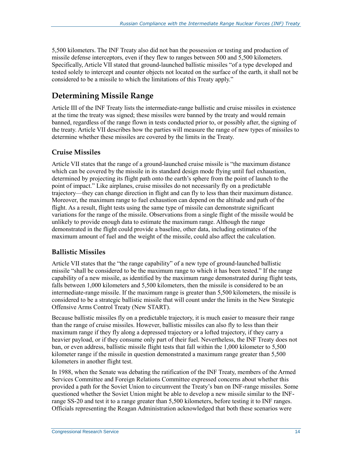5,500 kilometers. The INF Treaty also did not ban the possession or testing and production of missile defense interceptors, even if they flew to ranges between 500 and 5,500 kilometers. Specifically, Article VII stated that ground-launched ballistic missiles "of a type developed and tested solely to intercept and counter objects not located on the surface of the earth, it shall not be considered to be a missile to which the limitations of this Treaty apply."

## **Determining Missile Range**

Article III of the INF Treaty lists the intermediate-range ballistic and cruise missiles in existence at the time the treaty was signed; these missiles were banned by the treaty and would remain banned, regardless of the range flown in tests conducted prior to, or possibly after, the signing of the treaty. Article VII describes how the parties will measure the range of new types of missiles to determine whether these missiles are covered by the limits in the Treaty.

#### **Cruise Missiles**

Article VII states that the range of a ground-launched cruise missile is "the maximum distance which can be covered by the missile in its standard design mode flying until fuel exhaustion, determined by projecting its flight path onto the earth's sphere from the point of launch to the point of impact." Like airplanes, cruise missiles do not necessarily fly on a predictable trajectory—they can change direction in flight and can fly to less than their maximum distance. Moreover, the maximum range to fuel exhaustion can depend on the altitude and path of the flight. As a result, flight tests using the same type of missile can demonstrate significant variations for the range of the missile. Observations from a single flight of the missile would be unlikely to provide enough data to estimate the maximum range. Although the range demonstrated in the flight could provide a baseline, other data, including estimates of the maximum amount of fuel and the weight of the missile, could also affect the calculation.

#### **Ballistic Missiles**

Article VII states that the "the range capability" of a new type of ground-launched ballistic missile "shall be considered to be the maximum range to which it has been tested." If the range capability of a new missile, as identified by the maximum range demonstrated during flight tests, falls between 1,000 kilometers and 5,500 kilometers, then the missile is considered to be an intermediate-range missile. If the maximum range is greater than 5,500 kilometers, the missile is considered to be a strategic ballistic missile that will count under the limits in the New Strategic Offensive Arms Control Treaty (New START).

Because ballistic missiles fly on a predictable trajectory, it is much easier to measure their range than the range of cruise missiles. However, ballistic missiles can also fly to less than their maximum range if they fly along a depressed trajectory or a lofted trajectory, if they carry a heavier payload, or if they consume only part of their fuel. Nevertheless, the INF Treaty does not ban, or even address, ballistic missile flight tests that fall within the 1,000 kilometer to 5,500 kilometer range if the missile in question demonstrated a maximum range greater than 5,500 kilometers in another flight test.

In 1988, when the Senate was debating the ratification of the INF Treaty, members of the Armed Services Committee and Foreign Relations Committee expressed concerns about whether this provided a path for the Soviet Union to circumvent the Treaty's ban on INF-range missiles. Some questioned whether the Soviet Union might be able to develop a new missile similar to the INFrange SS-20 and test it to a range greater than 5,500 kilometers, before testing it to INF ranges. Officials representing the Reagan Administration acknowledged that both these scenarios were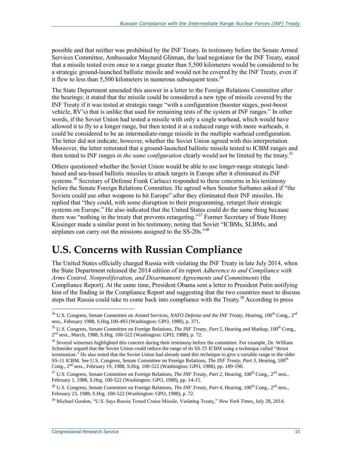possible and that neither was prohibited by the INF Treaty. In testimony before the Senate Armed Services Committee, Ambassador Maynard Glitman, the lead negotiator for the INF Treaty, stated that a missile tested even once to a range greater than 5,500 kilometers would be considered to be a strategic ground-launched ballistic missile and would not be covered by the INF Treaty, even if it flew to less than  $5,500$  kilometers in numerous subsequent tests.<sup>34</sup>

The State Department amended this answer in a letter to the Foreign Relations Committee after the hearings; it stated that the missile could be considered a new type of missile covered by the INF Treaty if it was tested at strategic range "with a configuration (booster stages, post-boost vehicle, RV's) that is unlike that used for remaining tests of the system at INF ranges." In other words, if the Soviet Union had tested a missile with only a single warhead, which would have allowed it to fly to a longer range, but then tested it at a reduced range with more warheads, it could be considered to be an intermediate-range missile in the multiple warhead configuration. The letter did not indicate, however, whether the Soviet Union agreed with this interpretation. Moreover, the letter reiterated that a ground-launched ballistic missile tested to ICBM ranges and then tested to INF ranges *in the same configuration* clearly would not be limited by the treaty.<sup>35</sup>

Others questioned whether the Soviet Union would be able to use longer-range strategic landbased and sea-based ballistic missiles to attack targets in Europe after it eliminated its INF systems.<sup>36</sup> Secretary of Defense Frank Carlucci responded to these concerns in his testimony before the Senate Foreign Relations Committee. He agreed when Senator Sarbanes asked if "the Soviets could use other weapons to hit Europe" after they eliminated their INF missiles. He replied that "they could, with some disruption to their programming, retarget their strategic systems on Europe." He also indicated that the United States could do the same thing because there was "nothing in the treaty that prevents retargeting." <sup>37</sup> Former Secretary of State Henry Kissinger made a similar point in his testimony, noting that Soviet "ICBMs, SLBMs, and airplanes can carry out the missions assigned to the SS-20s."<sup>38</sup>

## **U.S. Concerns with Russian Compliance**

The United States officially charged Russia with violating the INF Treaty in late July 2014, when the State Department released the 2014 edition of its report *Adherence to and Compliance with Arms Control, Nonproliferation, and Disarmament Agreements and Commitments* (the Compliance Report). At the same time, President Obama sent a letter to President Putin notifying him of the finding in the Compliance Report and suggesting that the two countries meet to discuss steps that Russia could take to come back into compliance with the Treaty.<sup>39</sup> According to press

<sup>&</sup>lt;sup>34</sup> U.S. Congress, Senate Committee on Armed Services, *NATO Defense and the INF Treaty*, Hearing, 100<sup>th</sup> Cong., 2<sup>nd</sup> sess., February 1988, S.Hrg.100-493 (Washington: GPO, 1988), p. 371.

<sup>&</sup>lt;sup>35</sup> U.S. Congress, Senate Committee on Foreign Relations, *The INF Treaty, Part 5*, Hearing and Markup, 100<sup>th</sup> Cong., 2<sup>nd</sup> sess., March, 1988, S.Hrg. 100-522 (Washington: GPO, 1988), p. 72.

<sup>&</sup>lt;sup>36</sup> Several witnesses highlighted this concern during their testimony before the committee. For example, Dr. William Schneider argued that the Soviet Union could reduce the range of its SS-25 ICBM using a technique called "thrust termination." He also noted that the Soviet Union had already used this technique to give a variable range to the older SS-11 ICBM. See U.S. Congress, Senate Committee on Foreign Relations, *The INF Treaty, Part 3*, Hearing, 100th Cong., 2nd sess., February 19, 1988, S.Hrg. 100-522 (Washington: GPO, 1988), pp. 189-190.

<sup>&</sup>lt;sup>37</sup> U.S. Congress, Senate Committee on Foreign Relations, *The INF Treaty, Part 2*, Hearing, 100<sup>th</sup> Cong., 2<sup>nd</sup> sess., February 1, 1988, S.Hrg. 100-522 (Washington: GPO, 1988), pp. 14-15.

<sup>38</sup> U.S. Congress, Senate Committee on Foreign Relations, *The INF Treaty, Part 4*, Hearing, 100th Cong., 2nd sess., February 23, 1988, S.Hrg. 100-522 (Washington: GPO, 1988), p. 72.

<sup>39</sup> Michael Gordon, "U.S. Says Russia Tested Cruise Missile, Violating Treaty," *New York Times*, July 28, 2014.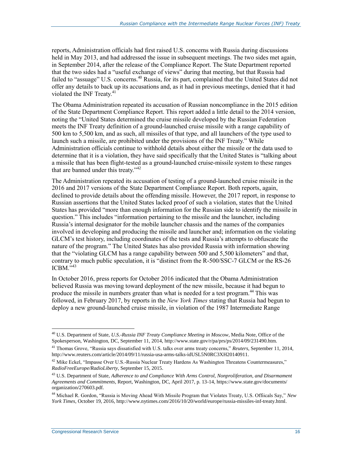reports, Administration officials had first raised U.S. concerns with Russia during discussions held in May 2013, and had addressed the issue in subsequent meetings. The two sides met again, in September 2014, after the release of the Compliance Report. The State Department reported that the two sides had a "useful exchange of views" during that meeting, but that Russia had failed to "assuage" U.S. concerns.<sup>40</sup> Russia, for its part, complained that the United States did not offer any details to back up its accusations and, as it had in previous meetings, denied that it had violated the INF Treaty. $41$ 

The Obama Administration repeated its accusation of Russian noncompliance in the 2015 edition of the State Department Compliance Report. This report added a little detail to the 2014 version, noting the "United States determined the cruise missile developed by the Russian Federation meets the INF Treaty definition of a ground-launched cruise missile with a range capability of 500 km to 5,500 km, and as such, all missiles of that type, and all launchers of the type used to launch such a missile, are prohibited under the provisions of the INF Treaty." While Administration officials continue to withhold details about either the missile or the data used to determine that it is a violation, they have said specifically that the United States is "talking about a missile that has been flight-tested as a ground-launched cruise-missile system to these ranges that are banned under this treaty."<sup>42</sup>

The Administration repeated its accusation of testing of a ground-launched cruise missile in the 2016 and 2017 versions of the State Department Compliance Report. Both reports, again, declined to provide details about the offending missile. However, the 2017 report, in response to Russian assertions that the United States lacked proof of such a violation, states that the United States has provided "more than enough information for the Russian side to identify the missile in question." This includes "information pertaining to the missile and the launcher, including Russia's internal designator for the mobile launcher chassis and the names of the companies involved in developing and producing the missile and launcher and; information on the violating GLCM's test history, including coordinates of the tests and Russia's attempts to obfuscate the nature of the program." The United States has also provided Russia with information showing that the "violating GLCM has a range capability between 500 and 5,500 kilometers" and that, contrary to much public speculation, it is "distinct from the R-500/SSC-7 GLCM or the RS-26  $ICBM.$ <sup> $,43$ </sup>

In October 2016, press reports for October 2016 indicated that the Obama Administration believed Russia was moving toward deployment of the new missile, because it had begun to produce the missile in numbers greater than what is needed for a test program.<sup>44</sup> This was followed, in February 2017, by reports in the *New York Times* stating that Russia had begun to deploy a new ground-launched cruise missile, in violation of the 1987 Intermediate Range

<sup>40</sup> U.S. Department of State, *U.S.-Russia INF Treaty Compliance Meeting in Moscow*, Media Note, Office of the Spokesperson, Washington, DC, September 11, 2014, http://www.state.gov/r/pa/prs/ps/2014/09/231490.htm.

<sup>41</sup> Thomas Grove, "Russia says dissatisfied with U.S. talks over arms treaty concerns," *Reuters*, September 11, 2014, http://www.reuters.com/article/2014/09/11/russia-usa-arms-talks-idUSL5N0RC3XH20140911.

<sup>&</sup>lt;sup>42</sup> Mike Eckel, "Impasse Over U.S.-Russia Nuclear Treaty Hardens As Washington Threatens Countermeasures," *RadioFreeEurope/RadioLiberty*, September 15, 2015.

<sup>43</sup> U.S. Department of State, *Adherence to and Compliance With Arms Control, Nonproliferation, and Disarmament Agreements and Commitments*, Report, Washington, DC, April 2017, p. 13-14, https://www.state.gov/documents/ organization/270603.pdf.

<sup>44</sup> Michael R. Gordon, "Russia is Moving Ahead With Missile Program that Violates Treaty, U.S. Offiicals Say," *New York Times*, October 19, 2016, http://www.nytimes.com/2016/10/20/world/europe/russia-missiles-inf-treaty.html.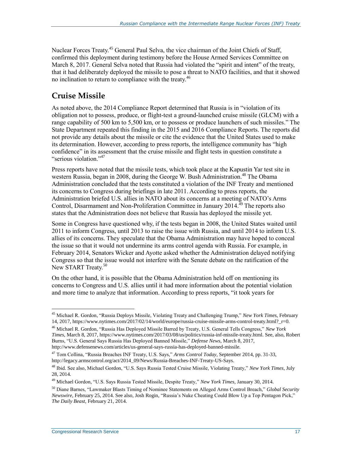Nuclear Forces Treaty.<sup>45</sup> General Paul Selva, the vice chairman of the Joint Chiefs of Staff, confirmed this deployment during testimony before the House Armed Services Committee on March 8, 2017. General Selva noted that Russia had violated the "spirit and intent" of the treaty, that it had deliberately deployed the missile to pose a threat to NATO facilities, and that it showed no inclination to return to compliance with the treaty.<sup>46</sup>

### **Cruise Missile**

As noted above, the 2014 Compliance Report determined that Russia is in "violation of its obligation not to possess, produce, or flight-test a ground-launched cruise missile (GLCM) with a range capability of 500 km to 5,500 km, or to possess or produce launchers of such missiles." The State Department repeated this finding in the 2015 and 2016 Compliance Reports. The reports did not provide any details about the missile or cite the evidence that the United States used to make its determination. However, according to press reports, the intelligence community has "high confidence" in its assessment that the cruise missile and flight tests in question constitute a "serious violation."<sup>47</sup>

Press reports have noted that the missile tests, which took place at the Kapustin Yar test site in western Russia, began in 2008, during the George W. Bush Administration.<sup>48</sup> The Obama Administration concluded that the tests constituted a violation of the INF Treaty and mentioned its concerns to Congress during briefings in late 2011. According to press reports, the Administration briefed U.S. allies in NATO about its concerns at a meeting of NATO's Arms Control, Disarmament and Non-Proliferation Committee in January 2014.<sup>49</sup> The reports also states that the Administration does not believe that Russia has deployed the missile yet.

Some in Congress have questioned why, if the tests began in 2008, the United States waited until 2011 to inform Congress, until 2013 to raise the issue with Russia, and until 2014 to inform U.S. allies of its concerns. They speculate that the Obama Administration may have hoped to conceal the issue so that it would not undermine its arms control agenda with Russia. For example, in February 2014, Senators Wicker and Ayotte asked whether the Administration delayed notifying Congress so that the issue would not interfere with the Senate debate on the ratification of the New START Treaty.<sup>50</sup>

On the other hand, it is possible that the Obama Administration held off on mentioning its concerns to Congress and U.S. allies until it had more information about the potential violation and more time to analyze that information. According to press reports, "it took years for

<sup>45</sup> Michael R. Gordon, "Russia Deploys Missile, Violating Treaty and Challenging Trump," *New York Times*, February 14, 2017, https://www.nytimes.com/2017/02/14/world/europe/russia-cruise-missile-arms-control-treaty.html?\_r=0.

<sup>46</sup> Michael R. Gordon, "Russia Has Deployed Missile Barred by Treaty, U.S. General Tells Congress," *New York Times*, March 8, 2017, https://www.nytimes.com/2017/03/08/us/politics/russia-inf-missile-treaty.html. See, also, Robert Burns, "U.S. General Says Russia Has Deployed Banned Missile," *Defense News*, March 8, 2017, http://www.defensenews.com/articles/us-general-says-russia-has-deployed-banned-missile.

<sup>47</sup> Tom Collina, "Russia Breaches INF Treaty, U.S. Says," *Arms Control Today*, September 2014, pp. 31-33, http://legacy.armscontrol.org/act/2014\_09/News/Russia-Breaches-INF-Treaty-US-Says.

<sup>48</sup> Ibid. See also, Michael Gordon, "U.S. Says Russia Tested Cruise Missile, Violating Treaty," *New York Times*, July 28, 2014.

<sup>49</sup> Michael Gordon, "U.S. Says Russia Tested Missile, Despite Treaty," *New York Times*, January 30, 2014.

<sup>50</sup> Diane Barnes, "Lawmaker Blasts Timing of Nominee Statements on Alleged Arms Control Breach," *Global Security Newswire*, February 25, 2014. See also, Josh Rogin, "Russia's Nuke Cheating Could Blow Up a Top Pentagon Pick," *The Daily Beast,* February 21, 2014.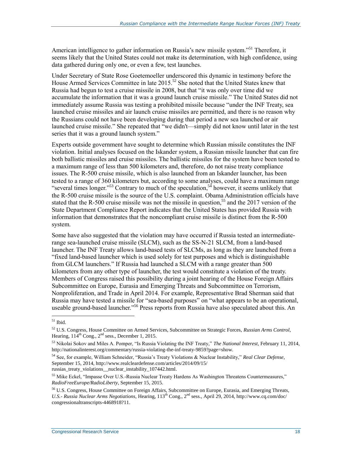American intelligence to gather information on Russia's new missile system."<sup>51</sup> Therefore, it seems likely that the United States could not make its determination, with high confidence, using data gathered during only one, or even a few, test launches.

Under Secretary of State Rose Goetemoeller underscored this dynamic in testimony before the House Armed Services Committee in late 2015.<sup>52</sup> She noted that the United States knew that Russia had begun to test a cruise missile in 2008, but that "it was only over time did we accumulate the information that it was a ground launch cruise missile." The United States did not immediately assume Russia was testing a prohibited missile because "under the INF Treaty, sea launched cruise missiles and air launch cruise missiles are permitted, and there is no reason why the Russians could not have been developing during that period a new sea launched or air launched cruise missile." She repeated that "we didn't—simply did not know until later in the test series that it was a ground launch system."

Experts outside government have sought to determine which Russian missile constitutes the INF violation. Initial analyses focused on the Iskander system, a Russian missile launcher that can fire both ballistic missiles and cruise missiles. The ballistic missiles for the system have been tested to a maximum range of less than 500 kilometers and, therefore, do not raise treaty compliance issues. The R-500 cruise missile, which is also launched from an Iskander launcher, has been tested to a range of 360 kilometers but, according to some analyses, could have a maximum range "several times longer."<sup>53</sup> Contrary to much of the speculation,<sup>54</sup> however, it seems unlikely that the R-500 cruise missile is the source of the U.S. complaint. Obama Administration officials have stated that the R-500 cruise missile was not the missile in question,<sup>55</sup> and the 2017 version of the State Department Compliance Report indicates that the United States has provided Russia with information that demonstrates that the noncompliant cruise missile is distinct from the R-500 system.

Some have also suggested that the violation may have occurred if Russia tested an intermediaterange sea-launched cruise missile (SLCM), such as the SS-N-21 SLCM, from a land-based launcher. The INF Treaty allows land-based tests of SLCMs, as long as they are launched from a "fixed land-based launcher which is used solely for test purposes and which is distinguishable from GLCM launchers." If Russia had launched a SLCM with a range greater than 500 kilometers from any other type of launcher, the test would constitute a violation of the treaty. Members of Congress raised this possibility during a joint hearing of the House Foreign Affairs Subcommittee on Europe, Eurasia and Emerging Threats and Subcommittee on Terrorism, Nonproliferation, and Trade in April 2014. For example, Representative Brad Sherman said that Russia may have tested a missile for "sea-based purposes" on "what appears to be an operational, useable ground-based launcher."<sup>56</sup> Press reports from Russia have also speculated about this. An

<sup>51</sup> Ibid.

<sup>52</sup> U.S. Congress, House Committee on Armed Services, Subcommittee on Strategic Forces, *Russian Arms Control*, Hearing,  $114^{th}$  Cong.,  $2^{nd}$  sess., December 1, 2015.

<sup>53</sup> Nikolai Sokov and Miles A. Pomper, "Is Russia Violating the INF Treaty," *The National Interest*, February 11, 2014, http://nationalinterest.org/commentary/russia-violating-the-inf-treaty-9859?page=show.

<sup>54</sup> See, for example, William Schneider, "Russia's Treaty Violations & Nuclear Instability," *Real Clear Defense*, September 15, 2014, http://www.realcleardefense.com/articles/2014/09/15/ russias\_treaty\_violations\_\_nuclear\_instability\_107442.html.

<sup>55</sup> Mike Eckel, "Impasse Over U.S.-Russia Nuclear Treaty Hardens As Washington Threatens Countermeasures," *RadioFreeEurope/RadioLiberty*, September 15, 2015.

<sup>56</sup> U.S. Congress, House Committee on Foreign Affairs, Subcommittee on Europe, Eurasia, and Emerging Threats, *U.S.- Russia Nuclear Arms Negotiations*, Hearing, 113th Cong., 2nd sess., April 29, 2014, http://www.cq.com/doc/ congressionaltranscripts-4468918?11.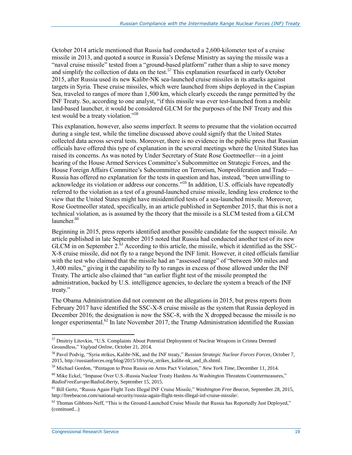October 2014 article mentioned that Russia had conducted a 2,600-kilometer test of a cruise missile in 2013, and quoted a source in Russia's Defense Ministry as saying the missile was a "naval cruise missile" tested from a "ground-based platform" rather than a ship to save money and simplify the collection of data on the test.<sup>57</sup> This explanation resurfaced in early October 2015, after Russia used its new Kalibr-NK sea-launched cruise missiles in its attacks against targets in Syria. These cruise missiles, which were launched from ships deployed in the Caspian Sea, traveled to ranges of more than 1,500 km, which clearly exceeds the range permitted by the INF Treaty. So, according to one analyst, "if this missile was ever test-launched from a mobile land-based launcher, it would be considered GLCM for the purposes of the INF Treaty and this test would be a treaty violation."<sup>58</sup>

This explanation, however, also seems imperfect. It seems to presume that the violation occurred during a single test, while the timeline discussed above could signify that the United States collected data across several tests. Moreover, there is no evidence in the public press that Russian officials have offered this type of explanation in the several meetings where the United States has raised its concerns. As was noted by Under Secretary of State Rose Goetmoeller—in a joint hearing of the House Armed Services Committee's Subcommittee on Strategic Forces, and the House Foreign Affairs Committee's Subcommittee on Terrorism, Nonproliferation and Trade— Russia has offered no explanation for the tests in question and has, instead, "been unwilling to acknowledge its violation or address our concerns.<sup>559</sup> In addition, U.S. officials have repeatedly referred to the violation as a test of a ground-launched cruise missile, lending less credence to the view that the United States might have misidentified tests of a sea-launched missile. Moreover, Rose Goetmeoller stated, specifically, in an article published in September 2015, that this is not a technical violation, as is assumed by the theory that the missile is a SLCM tested from a GLCM launcher.<sup>60</sup>

Beginning in 2015, press reports identified another possible candidate for the suspect missile. An article published in late September 2015 noted that Russia had conducted another test of its new GLCM in on September  $2^{61}$  According to this article, the missile, which it identified as the SSC-X-8 cruise missile, did not fly to a range beyond the INF limit. However, it cited officials familiar with the test who claimed that the missile had an "assessed range" of "between 300 miles and 3,400 miles," giving it the capability to fly to ranges in excess of those allowed under the INF Treaty. The article also claimed that "an earlier flight test of the missile prompted the administration, backed by U.S. intelligence agencies, to declare the system a breach of the INF treaty."

The Obama Administration did not comment on the allegations in 2015, but press reports from February 2017 have identified the SSC-X-8 cruise missile as the system that Russia deployed in December 2016; the designation is now the SSC-8, with the X dropped because the missile is no longer experimental.<sup>62</sup> In late November 2017, the Trump Administration identified the Russian

<sup>&</sup>lt;sup>57</sup> Dmitriy Litovkin, "U.S. Complaints About Potential Deployment of Nuclear Weapons in Crimea Deemed Groundless," *Vzglyad Online*, October 21, 2014.

<sup>58</sup> Pavel Podvig, "Syria strikes, Kalibr-NK, and the INF treaty," *Russian Strategic Nuclear Forces Forces*, October 7, 2015, http://russianforces.org/blog/2015/10/syria\_strikes\_kalibr-nk\_and\_th.shtml.

<sup>59</sup> Michael Gordon, "Pentagon to Press Russia on Arms Pact Violation," *New York Time*, December 11, 2014.

 $60$  Mike Eckel, "Impasse Over U.S.-Russia Nuclear Treaty Hardens As Washington Threatens Countermeasures," *RadioFreeEurope/RadioLiberty*, September 15, 2015.

<sup>61</sup> Bill Gertz, "Russia Again Flight Tests Illegal INF Cruise Missile," *Washington Free Beacon*, September 28, 2015, http://freebeacon.com/national-security/russia-again-flight-tests-illegal-inf-cruise-missile/.

 $62$  Thomas Gibbons-Neff, "This is the Ground-Launched Cruise Missile that Russia has Reportedly Just Deployed," (continued...)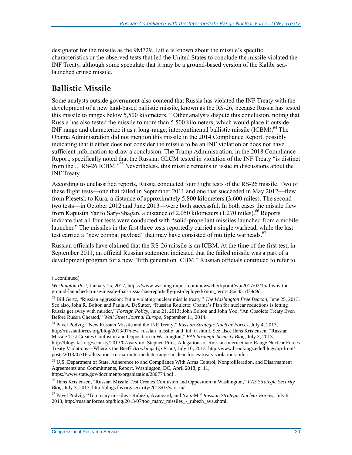designator for the missile as the 9M729. Little is known about the missile's specific characteristics or the observed tests that led the United States to conclude the missile violated the INF Treaty, although some speculate that it may be a ground-based version of the Kalibr sealaunched cruise missile.

## **Ballistic Missile**

Some analysts outside government also contend that Russia has violated the INF Treaty with the development of a new land-based ballistic missile, known as the RS-26, because Russia has tested this missile to ranges below 5,500 kilometers.<sup>63</sup> Other analysts dispute this conclusion, noting that Russia has also tested the missile to more than 5,500 kilometers, which would place it outside INF range and characterize it as a long-range, intercontinental ballistic missile (ICBM).<sup>64</sup> The Obama Administration did not mention this missile in the 2014 Compliance Report, possibly indicating that it either does not consider the missile to be an INF violation or does not have sufficient information to draw a conclusion. The Trump Administration, in the 2018 Compliance Report, specifically noted that the Russian GLCM tested in violation of the INF Treaty "is distinct from the ... RS-26 ICBM."<sup>65</sup> Nevertheless, this missile remains in issue in discussions about the INF Treaty.

According to unclassified reports, Russia conducted four flight tests of the RS-26 missile. Two of these flight tests—one that failed in September 2011 and one that succeeded in May 2012—flew from Plesetsk to Kura, a distance of approximately 5,800 kilometers (3,600 miles). The second two tests—in October 2012 and June 2013—were both successful. In both cases the missile flew from Kapustin Yar to Sary-Shagan, a distance of 2,050 kilometers (1,270 miles).<sup>66</sup> Reports indicate that all four tests were conducted with "solid-propellant missiles launched from a mobile launcher." The missiles in the first three tests reportedly carried a single warhead, while the last test carried a "new combat payload" that may have consisted of multiple warheads.<sup>67</sup>

Russian officials have claimed that the RS-26 missile is an ICBM. At the time of the first test, in September 2011, an official Russian statement indicated that the failed missile was a part of a development program for a new "fifth generation ICBM." Russian officials continued to refer to

<sup>(...</sup>continued)

*Washington Post*, January 15, 2017, https://www.washingtonpost.com/news/checkpoint/wp/2017/02/15/this-is-theground-launched-cruise-missile-that-russia-has-reportedly-just-deployed/?utm\_term=.86c051d79c9d.

<sup>63</sup> Bill Gertz, "Russian aggression: Putin violating nuclear missile treaty," *The Washington Free Beacon*, June 25, 2013. See also, John R. Bolton and Paula A. DeSutter, "Russian Roulette: Obama's Plan for nuclear reductions is letting Russia get away with murder," *Foreign Policy*, June 21, 2013; John Bolton and John Yoo, "An Obsolete Treaty Even Before Russia Cheated," *Wall Street Journal Europe*, September 11, 2014.

<sup>64</sup> Pavel Podvig, "New Russian Missile and the INF Treaty," *Russian Strategic Nuclear Forces*, July 4, 2013, http://russianforces.org/blog/2013/07/new\_russian\_missile\_and\_inf\_tr.shtml. See also, Hans Kristensen, "Russian Missile Test Creates Confusion and Opposition in Washington," *FAS Strategic Security Blog,* July 3, 2013, http://blogs.fas.org/security/2013/07/yars-m/; Stephen Pifer, Allegations of Russian Intermediate-Range Nuclear Forces Treaty Violations—Where's the Beef? *Brookings Up Front,* July 16, 2013, http://www.brookings.edu/blogs/up-front/ posts/2013/07/16-allegations-russian-intermediate-range-nuclear-forces-treaty-violations-pifer.

<sup>65</sup> U,S. Department of State, Adherence to and Compliance With Arms Control, Nonproliferation, and Disarmament Agreements and Commitments, Report, Washington, DC, April 2018, p. 11, https://www.state.gov/documents/organization/280774.pdf .

<sup>66</sup> Hans Kristensen, "Russian Missile Test Creates Confusion and Opposition in Washington," *FAS Strategic Security Blog,* July 3, 2013, http://blogs.fas.org/security/2013/07/yars-m/.

<sup>67</sup> Pavel Podvig, "Too many missiles - Rubezh, Avangard, and Yars-M," *Russian Strategic Nuclear Forces*, July 6, 2013, http://russianforces.org/blog/2013/07/too\_many\_missiles\_-\_rubezh\_ava.shtml.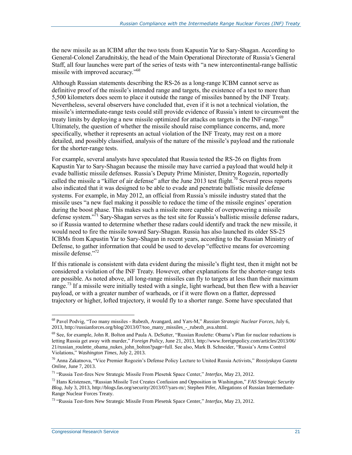the new missile as an ICBM after the two tests from Kapustin Yar to Sary-Shagan. According to General-Colonel Zarudnitskiy, the head of the Main Operational Directorate of Russia's General Staff, all four launches were part of the series of tests with "a new intercontinental-range ballistic missile with improved accuracy."<sup>68</sup>

Although Russian statements describing the RS-26 as a long-range ICBM cannot serve as definitive proof of the missile's intended range and targets, the existence of a test to more than 5,500 kilometers does seem to place it outside the range of missiles banned by the INF Treaty. Nevertheless, several observers have concluded that, even if it is not a technical violation, the missile's intermediate-range tests could still provide evidence of Russia's intent to circumvent the treaty limits by deploying a new missile optimized for attacks on targets in the INF-range.<sup>69</sup> Ultimately, the question of whether the missile should raise compliance concerns, and, more specifically, whether it represents an actual violation of the INF Treaty, may rest on a more detailed, and possibly classified, analysis of the nature of the missile's payload and the rationale for the shorter-range tests.

For example, several analysts have speculated that Russia tested the RS-26 on flights from Kapustin Yar to Sary-Shagan because the missile may have carried a payload that would help it evade ballistic missile defenses. Russia's Deputy Prime Minister, Dmitry Rogozin, reportedly called the missile a "killer of air defense" after the June 2013 test flight.<sup>70</sup> Several press reports also indicated that it was designed to be able to evade and penetrate ballistic missile defense systems. For example, in May 2012, an official from Russia's missile industry stated that the missile uses "a new fuel making it possible to reduce the time of the missile engines' operation during the boost phase. This makes such a missile more capable of overpowering a missile defense system."<sup>71</sup> Sary-Shagan serves as the test site for Russia's ballistic missile defense radars, so if Russia wanted to determine whether these radars could identify and track the new missile, it would need to fire the missile toward Sary-Shagan. Russia has also launched its older SS-25 ICBMs from Kapustin Yar to Sary-Shagan in recent years, according to the Russian Ministry of Defense, to gather information that could be used to develop "effective means for overcoming missile defense."<sup>72</sup>

If this rationale is consistent with data evident during the missile's flight test, then it might not be considered a violation of the INF Treaty. However, other explanations for the shorter-range tests are possible. As noted above, all long-range missiles can fly to targets at less than their maximum range.<sup>73</sup> If a missile were initially tested with a single, light warhead, but then flew with a heavier payload, or with a greater number of warheads, or if it were flown on a flatter, depressed trajectory or higher, lofted trajectory, it would fly to a shorter range. Some have speculated that

<sup>68</sup> Pavel Podvig, "Too many missiles - Rubezh, Avangard, and Yars-M," *Russian Strategic Nuclear Forces*, July 6, 2013, http://russianforces.org/blog/2013/07/too\_many\_missiles\_-\_rubezh\_ava.shtml.

<sup>&</sup>lt;sup>69</sup> See, for example, John R. Bolton and Paula A. DeSutter, "Russian Roulette: Obama's Plan for nuclear reductions is letting Russia get away with murder," *Foreign Policy*, June 21, 2013, http://www.foreignpolicy.com/articles/2013/06/ 21/russian\_roulette\_obama\_nukes\_john\_bolton?page=full. See also, Mark B. Schneider, "Russia's Arms Control Violations," *Washington Times*, July 2, 2013.

<sup>70</sup> Anna Zakatnova, "Vice Premier Rogozin's Defense Policy Lecture to United Russia Activists," *Rossiyskaya Gazeta Online*, June 7, 2013.

<sup>71</sup> "Russia Test-fires New Strategic Missile From Plesetsk Space Center," *Interfax*, May 23, 2012.

<sup>72</sup> Hans Kristensen, "Russian Missile Test Creates Confusion and Opposition in Washington," *FAS Strategic Security Blog*, July 3, 2013, http://blogs.fas.org/security/2013/07/yars-m/; Stephen Pifer, Allegations of Russian Intermediate-Range Nuclear Forces Treaty.

<sup>73</sup> "Russia Test-fires New Strategic Missile From Plesetsk Space Center," *Interfax*, May 23, 2012.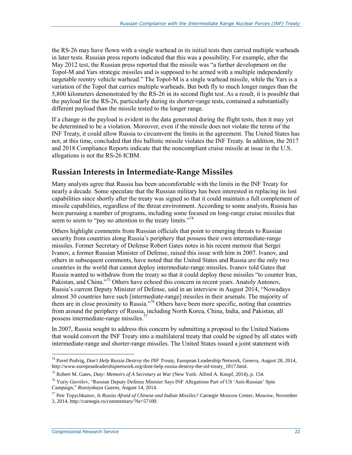the RS-26 may have flown with a single warhead in its initial tests then carried multiple warheads in later tests. Russian press reports indicated that this was a possibility. For example, after the May 2012 test, the Russian press reported that the missile was "a further development on the Topol-M and Yars strategic missiles and is supposed to be armed with a multiple independently targetable reentry vehicle warhead." The Topol-M is a single warhead missile, while the Yars is a variation of the Topol that carries multiple warheads. But both fly to much longer ranges than the 5,800 kilometers demonstrated by the RS-26 in its second flight test. As a result, it is possible that the payload for the RS-26, particularly during its shorter-range tests, contained a substantially different payload than the missile tested to the longer range.

If a change in the payload is evident in the data generated during the flight tests, then it may yet be determined to be a violation. Moreover, even if the missile does not violate the terms of the INF Treaty, it could allow Russia to circumvent the limits in the agreement. The United States has not, at this time, concluded that this ballistic missile violates the INF Treaty. In addition, the 2017 and 2018 Compliance Reports indicate that the noncompliant cruise missile at issue in the U.S. allegations is not the RS-26 ICBM.

### **Russian Interests in Intermediate-Range Missiles**

Many analysts agree that Russia has been uncomfortable with the limits in the INF Treaty for nearly a decade. Some speculate that the Russian military has been interested in replacing its lost capabilities since shortly after the treaty was signed so that it could maintain a full complement of missile capabilities, regardless of the threat environment. According to some analysts, Russia has been pursuing a number of programs, including some focused on long-range cruise missiles that seem to seem to "pay no attention to the treaty limits."<sup>74</sup>

Others highlight comments from Russian officials that point to emerging threats to Russian security from countries along Russia's periphery that possess their own intermediate-range missiles. Former Secretary of Defense Robert Gates notes in his recent memoir that Sergei Ivanov, a former Russian Minister of Defense, raised this issue with him in 2007. Ivanov, and others in subsequent comments, have noted that the United States and Russia are the only two countries in the world that cannot deploy intermediate-range missiles. Ivanov told Gates that Russia wanted to withdraw from the treaty so that it could deploy these missiles "to counter Iran, Pakistan, and China."<sup>75</sup> Others have echoed this concern in recent years. Anatoly Antonov, Russia's current Deputy Minister of Defense, said in an interview in August 2014, "Nowadays almost 30 countries have such [intermediate-range] missiles in their arsenals. The majority of them are in close proximity to Russia."<sup>76</sup> Others have been more specific, noting that countries from around the periphery of Russia, including North Korea, China, India, and Pakistan, all possess intermediate-range missiles.<sup>7</sup>

In 2007, Russia sought to address this concern by submitting a proposal to the United Nations that would convert the INF Treaty into a multilateral treaty that could be signed by all states with intermediate-range and shorter-range missiles. The United States issued a joint statement with

<sup>74</sup> Pavel Podvig, *Don't Help Russia Destroy the INF Treaty*, European Leadership Network, Geneva, August 28, 2014, http://www.europeanleadershipnetwork.org/dont-help-russia-destroy-the-inf-treaty\_1817.html.

<sup>75</sup> Robert M. Gates, *Duty: Memoirs of A Secretary at War* (New York: Alfred A. Knopf, 2014), p. 154.

<sup>76</sup> Yuriy Gavrilov, "Russian Deputy Defense Minister Says INF Allegations Part of US 'Anti-Russian' Spin Campaign," *Rossiyskaya Gazeta*, August 14, 2014.

<sup>77</sup> Petr Topychkanov, *Is Russia Afraid of Chinese and Indian Missiles?* Carnegie Moscow Center, Moscow, November 3, 2014, http://carnegie.ru/commentary/?fa=57100.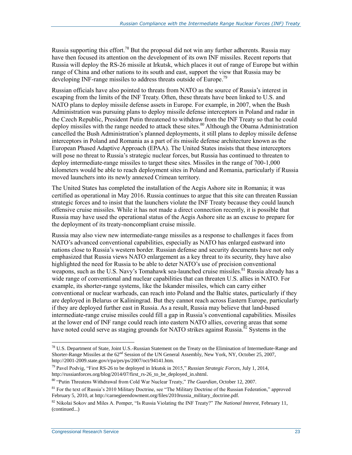Russia supporting this effort.<sup>78</sup> But the proposal did not win any further adherents. Russia may have then focused its attention on the development of its own INF missiles. Recent reports that Russia will deploy the RS-26 missile at Irkutsk, which places it out of range of Europe but within range of China and other nations to its south and east, support the view that Russia may be developing INF-range missiles to address threats outside of Europe.<sup>79</sup>

Russian officials have also pointed to threats from NATO as the source of Russia's interest in escaping from the limits of the INF Treaty. Often, these threats have been linked to U.S. and NATO plans to deploy missile defense assets in Europe. For example, in 2007, when the Bush Administration was pursuing plans to deploy missile defense interceptors in Poland and radar in the Czech Republic, President Putin threatened to withdraw from the INF Treaty so that he could deploy missiles with the range needed to attack these sites.<sup>80</sup> Although the Obama Administration cancelled the Bush Administration's planned deployments, it still plans to deploy missile defense interceptors in Poland and Romania as a part of its missile defense architecture known as the European Phased Adaptive Approach (EPAA). The United States insists that these interceptors will pose no threat to Russia's strategic nuclear forces, but Russia has continued to threaten to deploy intermediate-range missiles to target these sites. Missiles in the range of 700-1,000 kilometers would be able to reach deployment sites in Poland and Romania, particularly if Russia moved launchers into its newly annexed Crimean territory.

The United States has completed the installation of the Aegis Ashore site in Romania; it was certified as operational in May 2016. Russia continues to argue that this site can threaten Russian strategic forces and to insist that the launchers violate the INF Treaty because they could launch offensive cruise missiles. While it has not made a direct connection recently, it is possible that Russia may have used the operational status of the Aegis Ashore site as an excuse to prepare for the deployment of its treaty-noncompliant cruise missile.

Russia may also view new intermediate-range missiles as a response to challenges it faces from NATO's advanced conventional capabilities, especially as NATO has enlarged eastward into nations close to Russia's western border. Russian defense and security documents have not only emphasized that Russia views NATO enlargement as a key threat to its security, they have also highlighted the need for Russia to be able to deter NATO's use of precision conventional weapons, such as the U.S. Navy's Tomahawk sea-launched cruise missiles.<sup>81</sup> Russia already has a wide range of conventional and nuclear capabilities that can threaten U.S. allies in NATO. For example, its shorter-range systems, like the Iskander missiles, which can carry either conventional or nuclear warheads, can reach into Poland and the Baltic states, particularly if they are deployed in Belarus or Kaliningrad. But they cannot reach across Eastern Europe, particularly if they are deployed further east in Russia. As a result, Russia may believe that land-based intermediate-range cruise missiles could fill a gap in Russia's conventional capabilities. Missiles at the lower end of INF range could reach into eastern NATO allies, covering areas that some have noted could serve as staging grounds for NATO strikes against Russia.<sup>82</sup> Systems in the

 $^{78}$  U.S. Department of State, Joint U.S.-Russian Statement on the Treaty on the Elimination of Intermediate-Range and Shorter-Range Missiles at the  $62<sup>nd</sup>$  Session of the UN General Assembly, New York, NY, October 25, 2007, http://2001-2009.state.gov/r/pa/prs/ps/2007/oct/94141.htm.

<sup>79</sup> Pavel Podvig, "First RS-26 to be deployed in Irkutsk in 2015," *Russian Strategic Forces*, July 1, 2014, http://russianforces.org/blog/2014/07/first\_rs-26\_to\_be\_deployed\_in.shtml.

<sup>80</sup> "Putin Threatens Withdrawal from Cold War Nuclear Treaty," *The Guardian*, October 12, 2007.

<sup>&</sup>lt;sup>81</sup> For the text of Russia's 2010 Military Doctrine, see "The Military Doctrine of the Russian Federation," approved February 5, 2010, at http://carnegieendowment.org/files/2010russia\_military\_doctrine.pdf.

<sup>82</sup> Nikolai Sokov and Miles A. Pomper, "Is Russia Violating the INF Treaty?" *The National Interest*, February 11, (continued...)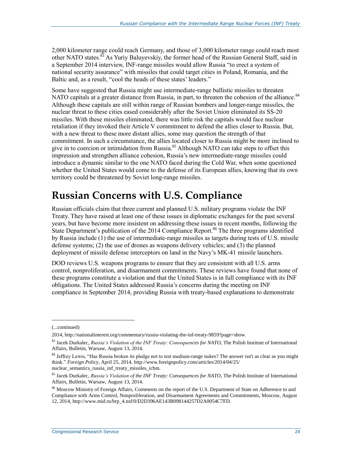2,000 kilometer range could reach Germany, and those of 3,000 kilometer range could reach most other NATO states.<sup>83</sup> As Yuriy Baluyevskiy, the former head of the Russian General Staff, said in a September 2014 interview, INF-range missiles would allow Russia "to erect a system of national security assurance" with missiles that could target cities in Poland, Romania, and the Baltic and, as a result, "cool the heads of these states' leaders."

Some have suggested that Russia might use intermediate-range ballistic missiles to threaten NATO capitals at a greater distance from Russia, in part, to threaten the cohesion of the alliance.<sup>84</sup> Although these capitals are still within range of Russian bombers and longer-range missiles, the nuclear threat to these cities eased considerably after the Soviet Union eliminated its SS-20 missiles. With these missiles eliminated, there was little risk the capitals would face nuclear retaliation if they invoked their Article V commitment to defend the allies closer to Russia. But, with a new threat to these more distant allies, some may question the strength of that commitment. In such a circumstance, the allies located closer to Russia might be more inclined to give in to coercion or intimidation from Russia.<sup>85</sup> Although NATO can take steps to offset this impression and strengthen alliance cohesion, Russia's new intermediate-range missiles could introduce a dynamic similar to the one NATO faced during the Cold War, when some questioned whether the United States would come to the defense of its European allies, knowing that its own territory could be threatened by Soviet long-range missiles.

## **Russian Concerns with U.S. Compliance**

Russian officials claim that three current and planned U.S. military programs violate the INF Treaty. They have raised at least one of these issues in diplomatic exchanges for the past several years, but have become more insistent on addressing these issues in recent months, following the State Department's publication of the 2014 Compliance Report.<sup>86</sup> The three programs identified by Russia include  $(1)$  the use of intermediate-range missiles as targets during tests of U.S. missile defense systems; (2) the use of drones as weapons delivery vehicles; and (3) the planned deployment of missile defense interceptors on land in the Navy's MK-41 missile launchers.

DOD reviews U.S. weapons programs to ensure that they are consistent with all U.S. arms control, nonproliferation, and disarmament commitments. These reviews have found that none of these programs constitute a violation and that the United States is in full compliance with its INF obligations. The United States addressed Russia's concerns during the meeting on INF compliance in September 2014, providing Russia with treaty-based explanations to demonstrate

<sup>(...</sup>continued)

<sup>2014,</sup> http://nationalinterest.org/commentary/russia-violating-the-inf-treaty-9859?page=show.

<sup>83</sup> Jacek Durkalec, *Russia's Violation of the INF Treaty: Consequences for NATO*, The Polish Institute of International Affairs, Bulletin, Warsaw, August 13, 2014.

<sup>&</sup>lt;sup>84</sup> Jeffrey Lewis, "Has Russia broken its pledge not to test medium-range nukes? The answer isn't as clear as you might think." *Foreign Policy*, April 25, 2014, http://www.foreignpolicy.com/articles/2014/04/25/ nuclear semantics russia inf treaty missiles icbm.

<sup>85</sup> Jacek Durkalec, *Russia's Violation of the INF Treaty: Consequences for NATO*, The Polish Institute of International Affairs, Bulletin, Warsaw, August 13, 2014.

<sup>&</sup>lt;sup>86</sup> Moscow Ministry of Foreign Affairs, Comments on the report of the U.S. Department of State on Adherence to and Compliance with Arms Control, Nonproliferation, and Disarmament Agreements and Commitments, Moscow, August 12, 2014, http://www.mid.ru/brp\_4.nsf/0/D2D396AE143B098144257D2A0054C7FD.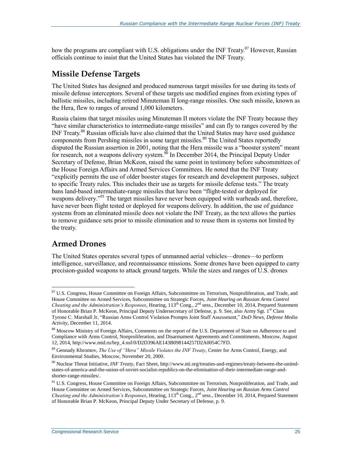how the programs are compliant with U.S. obligations under the INF Treaty.<sup>87</sup> However, Russian officials continue to insist that the United States has violated the INF Treaty.

### **Missile Defense Targets**

The United States has designed and produced numerous target missiles for use during its tests of missile defense interceptors. Several of these targets use modified engines from existing types of ballistic missiles, including retired Minuteman II long-range missiles. One such missile, known as the Hera, flew to ranges of around 1,000 kilometers.

Russia claims that target missiles using Minuteman II motors violate the INF Treaty because they "have similar characteristics to intermediate-range missiles" and can fly to ranges covered by the INF Treaty.<sup>88</sup> Russian officials have also claimed that the United States may have used guidance components from Pershing missiles in some target missiles.<sup>89</sup> The United States reportedly disputed the Russian assertion in 2001, noting that the Hera missile was a "booster system" meant for research, not a weapons delivery system.<sup>90</sup> In December 2014, the Principal Deputy Under Secretary of Defense, Brian McKeon, raised the same point in testimony before subcommittees of the House Foreign Affairs and Armed Services Committees. He noted that the INF Treaty "explicitly permits the use of older booster stages for research and development purposes, subject to specific Treaty rules. This includes their use as targets for missile defense tests." The treaty bans land-based intermediate-range missiles that have been "flight-tested or deployed for weapons delivery."<sup>91</sup> The target missiles have never been equipped with warheads and, therefore, have never been flight tested or deployed for weapons delivery. In addition, the use of guidance systems from an eliminated missile does not violate the INF Treaty, as the text allows the parties to remove guidance sets prior to missile elimination and to reuse them in systems not limited by the treaty.

## **Armed Drones**

 $\overline{a}$ 

The United States operates several types of unmanned aerial vehicles—drones—to perform intelligence, surveillance, and reconnaissance missions. Some drones have been equipped to carry precision-guided weapons to attack ground targets. While the sizes and ranges of U.S. drones

<sup>&</sup>lt;sup>87</sup> U.S. Congress, House Committee on Foreign Affairs, Subcommittee on Terrorism, Nonproliferation, and Trade, and House Committee on Armed Services, Subcommittee on Strategic Forces, *Joint Hearing on Russian Arms Control Cheating and the Administration's Responses*, Hearing, 113<sup>th</sup> Cong., 2<sup>nd</sup> sess., December 10, 2014, Prepared Statement of Honorable Brian P. McKeon, Principal Deputy Undersecretary of Defense, p. 9. See, also Army Sgt. 1<sup>st</sup> Class Tyrone C. Marshall Jr, "Russian Arms Control Violation Prompts Joint Staff Assessment," *DoD News, Defense Media Activity*, December 11, 2014.

<sup>88</sup> Moscow Ministry of Foreign Affairs, Comments on the report of the U.S. Department of State on Adherence to and Compliance with Arms Control, Nonproliferation, and Disarmament Agreements and Commitments, Moscow, August 12, 2014, http://www.mid.ru/brp\_4.nsf/0/D2D396AE143B098144257D2A0054C7FD.

<sup>89</sup> Gennady Khromov, *The Use of "Hera" Missile Violates the INF Treaty*, Center for Arms Control, Energy, and Environmental Studies, Moscow, November 20, 2000.

<sup>90</sup> Nuclear Threat Initiative, *INF Treaty*, Fact Sheet, http://www.nti.org/treaties-and-regimes/treaty-between-the-unitedstates-of-america-and-the-union-of-soviet-socialist-republics-on-the-elimination-of-their-intermediate-range-andshorter-range-missiles/.

<sup>&</sup>lt;sup>91</sup> U.S. Congress, House Committee on Foreign Affairs, Subcommittee on Terrorism, Nonproliferation, and Trade, and House Committee on Armed Services, Subcommittee on Strategic Forces, *Joint Hearing on Russian Arms Control Cheating and the Administration's Responses*, Hearing, 113th Cong., 2nd sess., December 10, 2014, Prepared Statement of Honorable Brian P. McKeon, Principal Deputy Under Secretary of Defense, p. 9.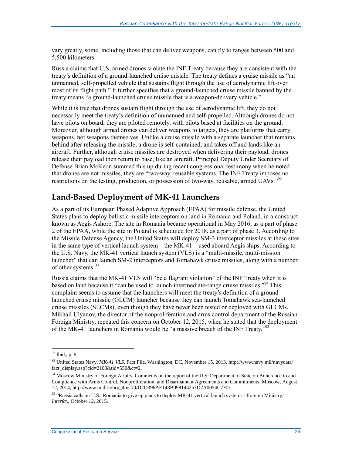vary greatly, some, including those that can deliver weapons, can fly to ranges between 500 and 5,500 kilometers.

Russia claims that U.S. armed drones violate the INF Treaty because they are consistent with the treaty's definition of a ground-launched cruise missile. The treaty defines a cruise missile as "an unmanned, self-propelled vehicle that sustains flight through the use of aerodynamic lift over most of its flight path." It further specifies that a ground-launched cruise missile banned by the treaty means "a ground-launched cruise missile that is a weapon-delivery vehicle."

While it is true that drones sustain flight through the use of aerodynamic lift, they do not necessarily meet the treaty's definition of unmanned and self-propelled. Although drones do not have pilots on board, they are piloted remotely, with pilots based at facilities on the ground. Moreover, although armed drones can deliver weapons to targets, they are platforms that carry weapons, not weapons themselves. Unlike a cruise missile with a separate launcher that remains behind after releasing the missile, a drone is self-contained, and takes off and lands like an aircraft. Further, although cruise missiles are destroyed when delivering their payload, drones release their payload then return to base, like an aircraft. Principal Deputy Under Secretary of Defense Brian McKeon summed this up during recent congressional testimony when he noted that drones are not missiles, they are "two-way, reusable systems. The INF Treaty imposes no restrictions on the testing, production, or possession of two-way, reusable, armed UAVs."<sup>92</sup>

### **Land-Based Deployment of MK-41 Launchers**

As a part of its European Phased Adaptive Approach (EPAA) for missile defense, the United States plans to deploy ballistic missile interceptors on land in Romania and Poland, in a construct known as Aegis Ashore. The site in Romania became operational in May 2016, as a part of phase 2 of the EPAA, while the site in Poland is scheduled for 2018, as a part of phase 3. According to the Missile Defense Agency, the United States will deploy SM-3 interceptor missiles at these sites in the same type of vertical launch system—the MK-41—used aboard Aegis ships. According to the U.S. Navy, the MK-41 vertical launch system (VLS) is a "multi-missile, multi-mission launcher" that can launch SM-2 interceptors and Tomahawk cruise missiles, along with a number of other systems.<sup>93</sup>

Russia claims that the MK-41 VLS will "be a flagrant violation" of the INF Treaty when it is based on land because it "can be used to launch intermediate-range cruise missiles."<sup>94</sup> This complaint seems to assume that the launchers will meet the treaty's definition of a groundlaunched cruise missile (GLCM) launcher because they can launch Tomahawk sea-launched cruise missiles (SLCMs), even though they have never been tested or deployed with GLCMs. Mikhail Ulyanov, the director of the nonproliferation and arms control department of the Russian Foreign Ministry, repeated this concern on October 12, 2015, when he stated that the deployment of the MK-41 launchers in Romania would be "a massive breach of the INF Treaty."<sup>95</sup>

 $92$  Ibid., p. 9.

<sup>93</sup> United States Navy, *MK-41 VLS*, Fact File, Washington, DC, November 15, 2013, http://www.navy.mil/navydata/ fact\_display.asp?cid=2100&tid=550&ct=2.

<sup>&</sup>lt;sup>94</sup> Moscow Ministry of Foreign Affairs, Comments on the report of the U.S. Department of State on Adherence to and Compliance with Arms Control, Nonproliferation, and Disarmament Agreements and Commitments, Moscow, August 12, 2014, http://www.mid.ru/brp\_4.nsf/0/D2D396AE143B098144257D2A0054C7FD.

<sup>95 &</sup>quot;Russia calls on U.S., Romania to give up plans to deploy MK-41 vertical launch systems - Foreign Ministry," *Interfax*, October 12, 2015.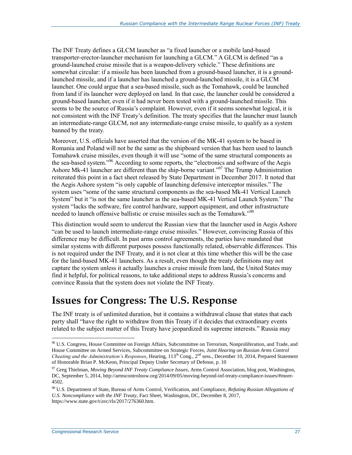The INF Treaty defines a GLCM launcher as "a fixed launcher or a mobile land-based transporter-erector-launcher mechanism for launching a GLCM." A GLCM is defined "as a ground-launched cruise missile that is a weapon-delivery vehicle." These definitions are somewhat circular: if a missile has been launched from a ground-based launcher, it is a groundlaunched missile, and if a launcher has launched a ground-launched missile, it is a GLCM launcher. One could argue that a sea-based missile, such as the Tomahawk, could be launched from land if its launcher were deployed on land. In that case, the launcher could be considered a ground-based launcher, even if it had never been tested with a ground-launched missile. This seems to be the source of Russia's complaint. However, even if it seems somewhat logical, it is not consistent with the INF Treaty's definition. The treaty specifies that the launcher must launch an intermediate-range GLCM, not any intermediate-range cruise missile, to qualify as a system banned by the treaty.

Moreover, U.S. officials have asserted that the version of the MK-41 system to be based in Romania and Poland will not be the same as the shipboard version that has been used to launch Tomahawk cruise missiles, even though it will use "some of the same structural components as the sea-based system."<sup>96</sup> According to some reports, the "electronics and software of the Aegis Ashore Mk-41 launcher are different than the ship-borne variant."<sup>97</sup> The Trump Administration reiterated this point in a fact sheet released by State Department in December 2017. It noted that the Aegis Ashore system "is only capable of launching defensive interceptor missiles." The system uses "some of the same structural components as the sea-based Mk-41 Vertical Launch System" but it "is not the same launcher as the sea-based MK-41 Vertical Launch System." The system "lacks the software, fire control hardware, support equipment, and other infrastructure needed to launch offensive ballistic or cruise missiles such as the Tomahawk."<sup>98</sup>

This distinction would seem to undercut the Russian view that the launcher used in Aegis Ashore "can be used to launch intermediate-range cruise missiles." However, convincing Russia of this difference may be difficult. In past arms control agreements, the parties have mandated that similar systems with different purposes possess functionally related, observable differences. This is not required under the INF Treaty, and it is not clear at this time whether this will be the case for the land-based MK-41 launchers. As a result, even though the treaty definitions may not capture the system unless it actually launches a cruise missile from land, the United States may find it helpful, for political reasons, to take additional steps to address Russia's concerns and convince Russia that the system does not violate the INF Treaty.

## **Issues for Congress: The U.S. Response**

The INF treaty is of unlimited duration, but it contains a withdrawal clause that states that each party shall "have the right to withdraw from this Treaty if it decides that extraordinary events related to the subject matter of this Treaty have jeopardized its supreme interests." Russia may

<sup>96</sup> U.S. Congress, House Committee on Foreign Affairs, Subcommittee on Terrorism, Nonproliferation, and Trade, and House Committee on Armed Services, Subcommittee on Strategic Forces, *Joint Hearing on Russian Arms Control Cheating and the Administration's Responses*, Hearing, 113<sup>th</sup> Cong., 2<sup>nd</sup> sess., December 10, 2014, Prepared Statement of Honorable Brian P. McKeon, Principal Deputy Under Secretary of Defense, p. 10

<sup>97</sup> Greg Thielman, *Moving Beyond INF Treaty Compliance Issues*, Arms Control Association, blog post, Washington, DC, September 5, 2014, http://armscontrolnow.org/2014/09/05/moving-beyond-inf-treaty-compliance-issues/#more-4502.

<sup>98</sup> U.S. Department of State, Bureau of Arms Control, Verification, and Compliance, *Refuting Russian Allegations of U.S. Noncompliance with the INF Treaty*, Fact Sheet, Washington, DC, December 8, 2017, https://www.state.gov/t/avc/rls/2017/276360.htm.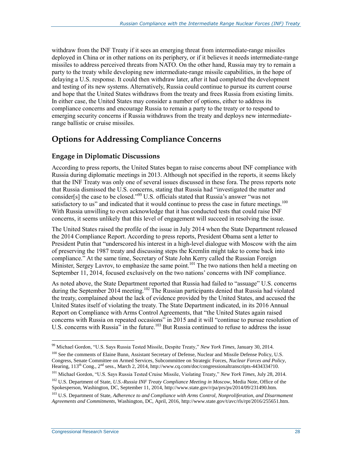withdraw from the INF Treaty if it sees an emerging threat from intermediate-range missiles deployed in China or in other nations on its periphery, or if it believes it needs intermediate-range missiles to address perceived threats from NATO. On the other hand, Russia may try to remain a party to the treaty while developing new intermediate-range missile capabilities, in the hope of delaying a U.S. response. It could then withdraw later, after it had completed the development and testing of its new systems. Alternatively, Russia could continue to pursue its current course and hope that the United States withdraws from the treaty and frees Russia from existing limits. In either case, the United States may consider a number of options, either to address its compliance concerns and encourage Russia to remain a party to the treaty or to respond to emerging security concerns if Russia withdraws from the treaty and deploys new intermediaterange ballistic or cruise missiles.

### **Options for Addressing Compliance Concerns**

#### **Engage in Diplomatic Discussions**

According to press reports, the United States began to raise concerns about INF compliance with Russia during diplomatic meetings in 2013. Although not specified in the reports, it seems likely that the INF Treaty was only one of several issues discussed in these fora. The press reports note that Russia dismissed the U.S. concerns, stating that Russia had "investigated the matter and consider[s] the case to be closed."<sup>99</sup> U.S. officials stated that Russia's answer "was not satisfactory to us" and indicated that it would continue to press the case in future meetings.<sup>100</sup> With Russia unwilling to even acknowledge that it has conducted tests that could raise INF concerns, it seems unlikely that this level of engagement will succeed in resolving the issue.

The United States raised the profile of the issue in July 2014 when the State Department released the 2014 Compliance Report. According to press reports, President Obama sent a letter to President Putin that "underscored his interest in a high-level dialogue with Moscow with the aim of preserving the 1987 treaty and discussing steps the Kremlin might take to come back into compliance." At the same time, Secretary of State John Kerry called the Russian Foreign Minister, Sergey Lavrov, to emphasize the same point.<sup>101</sup> The two nations then held a meeting on September 11, 2014, focused exclusively on the two nations' concerns with INF compliance.

As noted above, the State Department reported that Russia had failed to "assuage" U.S. concerns during the September 2014 meeting.<sup>102</sup> The Russian participants denied that Russia had violated the treaty, complained about the lack of evidence provided by the United States, and accused the United States itself of violating the treaty. The State Department indicated, in its 2016 Annual Report on Compliance with Arms Control Agreements, that "the United States again raised concerns with Russia on repeated occasions" in 2015 and it will "continue to pursue resolution of U.S. concerns with Russia" in the future.<sup>103</sup> But Russia continued to refuse to address the issue

<sup>99</sup> Michael Gordon, "U.S. Says Russia Tested Missile, Despite Treaty," *New York Times*, January 30, 2014.

<sup>&</sup>lt;sup>100</sup> See the comments of Elaine Bunn, Assistant Secretary of Defense, Nuclear and Missile Defense Policy, U.S. Congress, Senate Committee on Armed Services, Subcommittee on Strategic Forces, *Nuclear Forces and Policy*, Hearing, 113<sup>th</sup> Cong., 2<sup>nd</sup> sess., March 2, 2014, http://www.cq.com/doc/congressionaltranscripts-4434334?10.

<sup>101</sup> Michael Gordon, "U.S. Says Russia Tested Cruise Missile, Violating Treaty," *New York Times*, July 28, 2014.

<sup>102</sup> U.S. Department of State, *U.S.-Russia INF Treaty Compliance Meeting in Moscow*, Media Note, Office of the Spokesperson, Washington, DC, September 11, 2014, http://www.state.gov/r/pa/prs/ps/2014/09/231490.htm.

<sup>103</sup> U.S. Department of State, *Adherence to and Compliance with Arms Control, Nonproliferation, and Disarmament Agreements and Commitments*, Washington, DC, April, 2016, http://www.state.gov/t/avc/rls/rpt/2016/255651.htm.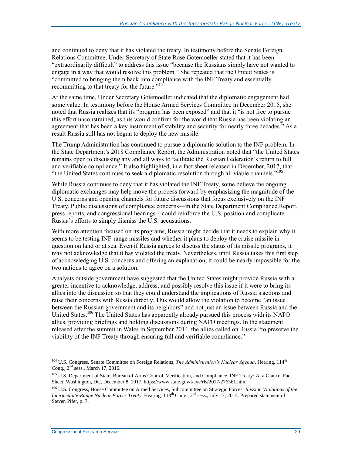and continued to deny that it has violated the treaty. In testimony before the Senate Foreign Relations Committee, Under Secretary of State Rose Gotemoeller stated that it has been "extraordinarily difficult" to address this issue "because the Russians simply have not wanted to engage in a way that would resolve this problem." She repeated that the United States is "committed to bringing them back into compliance with the INF Treaty and essentially recommitting to that treaty for the future."<sup>104</sup>

At the same time, Under Secretary Gotemoeller indicated that the diplomatic engagement had some value. In testimony before the House Armed Services Committee in December 2015, she noted that Russia realizes that its "program has been exposed" and that it "is not free to pursue this effort unconstrained, as this would confirm for the world that Russia has been violating an agreement that has been a key instrument of stability and security for nearly three decades." As a result Russia still has not begun to deploy the new missile.

The Trump Administration has continued to pursue a diplomatic solution to the INF problem. In the State Department's 2018 Compliance Report, the Administration noted that "the United States remains open to discussing any and all ways to facilitate the Russian Federation's return to full and verifiable compliance." It also highlighted, in a fact sheet released in December, 2017, that "the United States continues to seek a diplomatic resolution through all viable channels."<sup>105</sup>

While Russia continues to deny that it has violated the INF Treaty, some believe the ongoing diplomatic exchanges may help move the process forward by emphasizing the magnitude of the U.S. concerns and opening channels for future discussions that focus exclusively on the INF Treaty. Public discussions of compliance concerns—in the State Department Compliance Report, press reports, and congressional hearings—could reinforce the U.S. position and complicate Russia's efforts to simply dismiss the U.S. accusations.

With more attention focused on its programs, Russia might decide that it needs to explain why it seems to be testing INF-range missiles and whether it plans to deploy the cruise missile in question on land or at sea. Even if Russia agrees to discuss the status of its missile programs, it may not acknowledge that it has violated the treaty. Nevertheless, until Russia takes this first step of acknowledging U.S. concerns and offering an explanation, it could be nearly impossible for the two nations to agree on a solution.

Analysts outside government have suggested that the United States might provide Russia with a greater incentive to acknowledge, address, and possibly resolve this issue if it were to bring its allies into the discussion so that they could understand the implications of Russia's actions and raise their concerns with Russia directly. This would allow the violation to become "an issue between the Russian government and its neighbors" and not just an issue between Russia and the United States.<sup>106</sup> The United States has apparently already pursued this process with its NATO allies, providing briefings and holding discussions during NATO meetings. In the statement released after the summit in Wales in September 2014, the allies called on Russia "to preserve the viability of the INF Treaty through ensuring full and verifiable compliance."

<sup>&</sup>lt;sup>104</sup> U.S. Congress, Senate Committee on Foreign Relations, *The Administration's Nuclear Agenda*, Hearing, 114<sup>th</sup> Cong., 2<sup>nd</sup> sess., March 17, 2016.

<sup>&</sup>lt;sup>105</sup> U.S. Department of State, Bureau of Arms Control, Verification, and Compliance, INF Treaty: At a Glance, Fact Sheet, Washington, DC, December 8, 2017, https://www.state.gov/t/avc/rls/2017/276361.htm.

<sup>106</sup> U.S. Congress, House Committee on Armed Services, Subcommittee on Strategic Forces, *Russian Violations of the Intermediate-Range Nuclear Forces Treaty*, Hearing, 113<sup>th</sup> Cong., 2<sup>nd</sup> sess., July 17, 2014. Prepared statement of Steven Pifer, p. 7.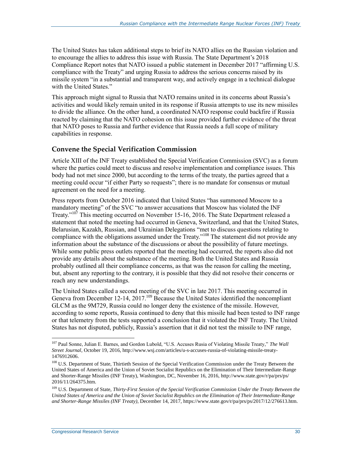The United States has taken additional steps to brief its NATO allies on the Russian violation and to encourage the allies to address this issue with Russia. The State Department's 2018 Compliance Report notes that NATO issued a public statement in December 2017 "affirming U.S. compliance with the Treaty" and urging Russia to address the serious concerns raised by its missile system "in a substantial and transparent way, and actively engage in a technical dialogue with the United States."

This approach might signal to Russia that NATO remains united in its concerns about Russia's activities and would likely remain united in its response if Russia attempts to use its new missiles to divide the alliance. On the other hand, a coordinated NATO response could backfire if Russia reacted by claiming that the NATO cohesion on this issue provided further evidence of the threat that NATO poses to Russia and further evidence that Russia needs a full scope of military capabilities in response.

#### **Convene the Special Verification Commission**

Article XIII of the INF Treaty established the Special Verification Commission (SVC) as a forum where the parties could meet to discuss and resolve implementation and compliance issues. This body had not met since 2000, but according to the terms of the treaty, the parties agreed that a meeting could occur "if either Party so requests"; there is no mandate for consensus or mutual agreement on the need for a meeting.

Press reports from October 2016 indicated that United States "has summoned Moscow to a mandatory meeting" of the SVC "to answer accusations that Moscow has violated the INF Treaty."<sup>107</sup> This meeting occurred on November 15-16, 2016. The State Department released a statement that noted the meeting had occurred in Geneva, Switzerland, and that the United States, Belarusian, Kazakh, Russian, and Ukrainian Delegations "met to discuss questions relating to compliance with the obligations assumed under the Treaty."<sup>108</sup> The statement did not provide any information about the substance of the discussions or about the possibility of future meetings. While some public press outlets reported that the meeting had occurred, the reports also did not provide any details about the substance of the meeting. Both the United States and Russia probably outlined all their compliance concerns, as that was the reason for calling the meeting, but, absent any reporting to the contrary, it is possible that they did not resolve their concerns or reach any new understandings.

The United States called a second meeting of the SVC in late 2017. This meeting occurred in Geneva from December 12-14, 2017.<sup>109</sup> Because the United States identified the noncompliant GLCM as the 9M729, Russia could no longer deny the existence of the missile. However, according to some reports, Russia continued to deny that this missile had been tested to INF range or that telemetry from the tests supported a conclusion that it violated the INF Treaty. The United States has not disputed, publicly, Russia's assertion that it did not test the missile to INF range,

<sup>107</sup> Paul Sonne, Julian E. Barnes, and Gordon Lubold, "U.S. Accuses Rusia of Violating Missile Treaty," *The Wall Street Journal*, October 19, 2016, http://www.wsj.com/articles/u-s-accuses-russia-of-violating-missile-treaty-1476912606.

<sup>&</sup>lt;sup>108</sup> U.S. Department of State, Thirtieth Session of the Special Verification Commission under the Treaty Between the United States of America and the Union of Soviet Socialist Republics on the Elimination of Their Intermediate-Range and Shorter-Range Missiles (INF Treaty), Washington, DC, November 16, 2016, http://www.state.gov/r/pa/prs/ps/ 2016/11/264375.htm.

<sup>109</sup> U.S. Department of State, *Thirty-First Session of the Special Verification Commission Under the Treaty Between the United States of America and the Union of Soviet Socialist Republics on the Elimination of Their Intermediate-Range and Shorter-Range Missiles (INF Treaty)*, December 14, 2017, https://www.state.gov/r/pa/prs/ps/2017/12/276613.htm.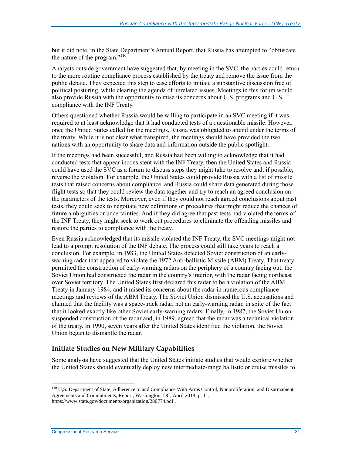but it did note, in the State Department's Annual Report, that Russia has attempted to "obfuscate the nature of the program."<sup>110</sup>

Analysts outside government have suggested that, by meeting in the SVC, the parties could return to the more routine compliance process established by the treaty and remove the issue from the public debate. They expected this step to ease efforts to initiate a substantive discussion free of political posturing, while clearing the agenda of unrelated issues. Meetings in this forum would also provide Russia with the opportunity to raise its concerns about U.S. programs and U.S. compliance with the INF Treaty.

Others questioned whether Russia would be willing to participate in an SVC meeting if it was required to at least acknowledge that it had conducted tests of a questionable missile. However, once the United States called for the meetings, Russia was obligated to attend under the terms of the treaty. While it is not clear what transpired, the meetings should have provided the two nations with an opportunity to share data and information outside the public spotlight.

If the meetings had been successful, and Russia had been willing to acknowledge that it had conducted tests that appear inconsistent with the INF Treaty, then the United States and Russia could have used the SVC as a forum to discuss steps they might take to resolve and, if possible, reverse the violation. For example, the United States could provide Russia with a list of missile tests that raised concerns about compliance, and Russia could share data generated during those flight tests so that they could review the data together and try to reach an agreed conclusion on the parameters of the tests. Moreover, even if they could not reach agreed conclusions about past tests, they could seek to negotiate new definitions or procedures that might reduce the chances of future ambiguities or uncertainties. And if they did agree that past tests had violated the terms of the INF Treaty, they might seek to work out procedures to eliminate the offending missiles and restore the parties to compliance with the treaty.

Even Russia acknowledged that its missile violated the INF Treaty, the SVC meetings might not lead to a prompt resolution of the INF debate. The process could still take years to reach a conclusion. For example, in 1983, the United States detected Soviet construction of an earlywarning radar that appeared to violate the 1972 Anti-ballistic Missile (ABM) Treaty. That treaty permitted the construction of early-warning radars on the periphery of a country facing out; the Soviet Union had constructed the radar in the country's interior, with the radar facing northeast over Soviet territory. The United States first declared this radar to be a violation of the ABM Treaty in January 1984, and it raised its concerns about the radar in numerous compliance meetings and reviews of the ABM Treaty. The Soviet Union dismissed the U.S. accusations and claimed that the facility was a space-track radar, not an early-warning radar, in spite of the fact that it looked exactly like other Soviet early-warning radars. Finally, in 1987, the Soviet Union suspended construction of the radar and, in 1989, agreed that the radar was a technical violation of the treaty. In 1990, seven years after the United States identified the violation, the Soviet Union began to dismantle the radar.

#### **Initiate Studies on New Military Capabilities**

Some analysts have suggested that the United States initiate studies that would explore whether the United States should eventually deploy new intermediate-range ballistic or cruise missiles to

<sup>&</sup>lt;sup>110</sup> U,S. Department of State, Adherence to and Compliance With Arms Control, Nonproliferation, and Disarmament Agreements and Commitments, Report, Washington, DC, April 2018, p. 11, https://www.state.gov/documents/organization/280774.pdf .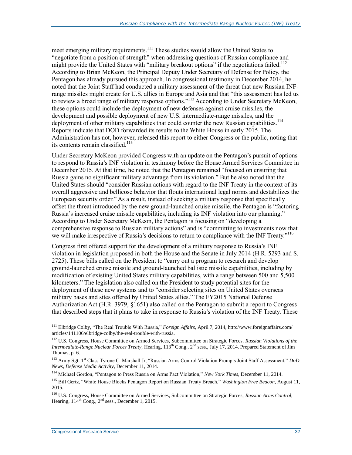meet emerging military requirements.<sup>111</sup> These studies would allow the United States to "negotiate from a position of strength" when addressing questions of Russian compliance and might provide the United States with "military breakout options" if the negotiations failed.<sup>112</sup> According to Brian McKeon, the Principal Deputy Under Secretary of Defense for Policy, the Pentagon has already pursued this approach. In congressional testimony in December 2014, he noted that the Joint Staff had conducted a military assessment of the threat that new Russian INFrange missiles might create for U.S. allies in Europe and Asia and that "this assessment has led us to review a broad range of military response options."<sup>113</sup> According to Under Secretary McKeon, these options could include the deployment of new defenses against cruise missiles, the development and possible deployment of new U.S. intermediate-range missiles, and the deployment of other military capabilities that could counter the new Russian capabilities.<sup>114</sup> Reports indicate that DOD forwarded its results to the White House in early 2015. The Administration has not, however, released this report to either Congress or the public, noting that its contents remain classified.<sup>115</sup>

Under Secretary McKeon provided Congress with an update on the Pentagon's pursuit of options to respond to Russia's INF violation in testimony before the House Armed Services Committee in December 2015. At that time, he noted that the Pentagon remained "focused on ensuring that Russia gains no significant military advantage from its violation." But he also noted that the United States should "consider Russian actions with regard to the INF Treaty in the context of its overall aggressive and bellicose behavior that flouts international legal norms and destabilizes the European security order." As a result, instead of seeking a military response that specifically offset the threat introduced by the new ground-launched cruise missile, the Pentagon is "factoring Russia's increased cruise missile capabilities, including its INF violation into our planning." According to Under Secretary McKeon, the Pentagon is focusing on "developing a comprehensive response to Russian military actions" and is "committing to investments now that we will make irrespective of Russia's decisions to return to compliance with the INF Treaty."<sup>116</sup>

Congress first offered support for the development of a military response to Russia's INF violation in legislation proposed in both the House and the Senate in July 2014 (H.R. 5293 and S. 2725). These bills called on the President to "carry out a program to research and develop ground-launched cruise missile and ground-launched ballistic missile capabilities, including by modification of existing United States military capabilities, with a range between 500 and 5,500 kilometers." The legislation also called on the President to study potential sites for the deployment of these new systems and to "consider selecting sites on United States overseas military bases and sites offered by United States allies." The FY2015 National Defense Authorization Act (H.R. 3979, §1651) also called on the Pentagon to submit a report to Congress that described steps that it plans to take in response to Russia's violation of the INF Treaty. These

<sup>111</sup> Elbridge Colby, "The Real Trouble With Russia," *Foreign Affairs*, April 7, 2014, http://www.foreignaffairs.com/ articles/141106/elbridge-colby/the-real-trouble-with-russia.

<sup>112</sup> U.S. Congress, House Committee on Armed Services, Subcommittee on Strategic Forces, *Russian Violations of the Intermediate-Range Nuclear Forces Treaty*, Hearing, 113th Cong., 2nd sess., July 17, 2014. Prepared Statement of Jim Thomas, p. 6.

<sup>113</sup> Army Sgt. 1st Class Tyrone C. Marshall Jr, "Russian Arms Control Violation Prompts Joint Staff Assessment," *DoD News, Defense Media Activity*, December 11, 2014.

<sup>114</sup> Michael Gordon, "Pentagon to Press Russia on Arms Pact Violation," *New York Times*, December 11, 2014.

<sup>115</sup> Bill Gertz, "White House Blocks Pentagon Report on Russian Treaty Breach," *Washington Free Beacon*, August 11, 2015.

<sup>116</sup> U.S. Congress, House Committee on Armed Services, Subcommittee on Strategic Forces, *Russian Arms Control*, Hearing,  $114^{th}$  Cong.,  $2^{nd}$  sess., December 1, 2015.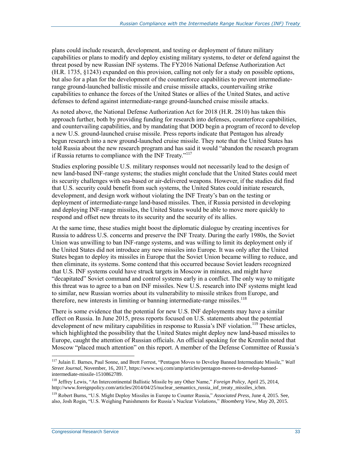plans could include research, development, and testing or deployment of future military capabilities or plans to modify and deploy existing military systems, to deter or defend against the threat posed by new Russian INF systems. The FY2016 National Defense Authorization Act (H.R. 1735, §1243) expanded on this provision, calling not only for a study on possible options, but also for a plan for the development of the counterforce capabilities to prevent intermediaterange ground-launched ballistic missile and cruise missile attacks, countervailing strike capabilities to enhance the forces of the United States or allies of the United States, and active defenses to defend against intermediate-range ground-launched cruise missile attacks.

As noted above, the National Defense Authorization Act for 2018 (H.R. 2810) has taken this approach further, both by providing funding for research into defenses, counterforce capabilities, and countervailing capabilities, and by mandating that DOD begin a program of record to develop a new U.S. ground-launched cruise missile. Press reports indicate that Pentagon has already begun research into a new ground-launched cruise missile. They note that the United States has told Russia about the new research program and has said it would "abandon the research program if Russia returns to compliance with the INF Treaty."<sup>117</sup>

Studies exploring possible U.S. military responses would not necessarily lead to the design of new land-based INF-range systems; the studies might conclude that the United States could meet its security challenges with sea-based or air-delivered weapons. However, if the studies did find that U.S. security could benefit from such systems, the United States could initiate research, development, and design work without violating the INF Treaty's ban on the testing or deployment of intermediate-range land-based missiles. Then, if Russia persisted in developing and deploying INF-range missiles, the United States would be able to move more quickly to respond and offset new threats to its security and the security of its allies.

At the same time, these studies might boost the diplomatic dialogue by creating incentives for Russia to address U.S. concerns and preserve the INF Treaty. During the early 1980s, the Soviet Union was unwilling to ban INF-range systems, and was willing to limit its deployment only if the United States did not introduce any new missiles into Europe. It was only after the United States began to deploy its missiles in Europe that the Soviet Union became willing to reduce, and then eliminate, its systems. Some contend that this occurred because Soviet leaders recognized that U.S. INF systems could have struck targets in Moscow in minutes, and might have "decapitated" Soviet command and control systems early in a conflict. The only way to mitigate this threat was to agree to a ban on INF missiles. New U.S. research into INF systems might lead to similar, new Russian worries about its vulnerability to missile strikes from Europe, and therefore, new interests in limiting or banning intermediate-range missiles.<sup>118</sup>

There is some evidence that the potential for new U.S. INF deployments may have a similar effect on Russia. In June 2015, press reports focused on U.S. statements about the potential development of new military capabilities in response to Russia's INF violation.<sup>119</sup> These articles, which highlighted the possibility that the United States might deploy new land-based missiles to Europe, caught the attention of Russian officials. An official speaking for the Kremlin noted that Moscow "placed much attention" on this report. A member of the Defense Committee of Russia's

<sup>117</sup> Julain E. Barnes, Paul Sonne, and Brett Forrest, "Pentagon Moves to Develop Banned Intermediate Missile," *Wall Street Journal*, November, 16, 2017, https://www.wsj.com/amp/articles/pentagon-moves-to-develop-bannedintermediate-missile-1510862789.

<sup>118</sup> Jeffrey Lewis, "An Intercontinental Ballistic Missile by any Other Name," *Foreign Policy*, April 25, 2014, http://www.foreignpolicy.com/articles/2014/04/25/nuclear\_semantics\_russia\_inf\_treaty\_missiles\_icbm.

<sup>119</sup> Robert Burns, "U.S. Might Deploy Missiles in Europe to Counter Russia," *Associated Press*, June 4, 2015. See, also, Josh Rogin, "U.S. Weighing Punishments for Russia's Nuclear Violations," *Bloomberg View,* May 20, 2015.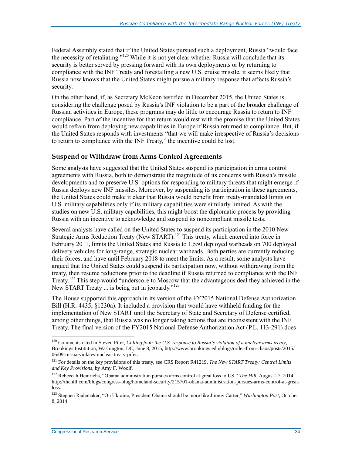Federal Assembly stated that if the United States pursued such a deployment, Russia "would face the necessity of retaliating."<sup>120</sup> While it is not yet clear whether Russia will conclude that its security is better served by pressing forward with its own deployments or by returning to compliance with the INF Treaty and forestalling a new U.S. cruise missile, it seems likely that Russia now knows that the United States might pursue a military response that affects Russia's security.

On the other hand, if, as Secretary McKeon testified in December 2015, the United States is considering the challenge posed by Russia's INF violation to be a part of the broader challenge of Russian activities in Europe, these programs may do little to encourage Russia to return to INF compliance. Part of the incentive for that return would rest with the promise that the United States would refrain from deploying new capabilities in Europe if Russia returned to compliance. But, if the United States responds with investments "that we will make irrespective of Russia's decisions to return to compliance with the INF Treaty," the incentive could be lost.

#### **Suspend or Withdraw from Arms Control Agreements**

Some analysts have suggested that the United States suspend its participation in arms control agreements with Russia, both to demonstrate the magnitude of its concerns with Russia's missile developments and to preserve U.S. options for responding to military threats that might emerge if Russia deploys new INF missiles. Moreover, by suspending its participation in these agreements, the United States could make it clear that Russia would benefit from treaty-mandated limits on U.S. military capabilities only if its military capabilities were similarly limited. As with the studies on new U.S. military capabilities, this might boost the diplomatic process by providing Russia with an incentive to acknowledge and suspend its noncompliant missile tests.

Several analysts have called on the United States to suspend its participation in the 2010 New Strategic Arms Reduction Treaty (New START).<sup>121</sup> This treaty, which entered into force in February 2011, limits the United States and Russia to 1,550 deployed warheads on 700 deployed delivery vehicles for long-range, strategic nuclear warheads. Both parties are currently reducing their forces, and have until February 2018 to meet the limits. As a result, some analysts have argued that the United States could suspend its participation now, without withdrawing from the treaty, then resume reductions prior to the deadline if Russia returned to compliance with the INF Treaty.<sup>122</sup> This step would "underscore to Moscow that the advantageous deal they achieved in the New START Treaty ... is being put in jeopardy."<sup>123</sup>

The House supported this approach in its version of the FY2015 National Defense Authorization Bill (H.R. 4435, §1230a). It included a provision that would have withheld funding for the implementation of New START until the Secretary of State and Secretary of Defense certified, among other things, that Russia was no longer taking actions that are inconsistent with the INF Treaty. The final version of the FY2015 National Defense Authorization Act (P.L. 113-291) does

<sup>120</sup> Comments cited in Steven Pifer, *Calling foul: the U.S. response to Russia's violation of a nuclear arms treaty*, Brookings Institution, Washington, DC, June 8, 2015, http://www.brookings.edu/blogs/order-from-chaos/posts/2015/ 06/09-russia-violates-nuclear-treaty-pifer.

<sup>121</sup> For details on the key provisions of this treaty, see CRS Report R41219, *The New START Treaty: Central Limits and Key Provisions*, by Amy F. Woolf.

<sup>&</sup>lt;sup>122</sup> Rebeccah Heinrichs, "Obama administration pursues arms control at great loss to US," The Hill, August 27, 2014, http://thehill.com/blogs/congress-blog/homeland-security/215701-obama-administration-pursues-arms-control-at-greatloss.

<sup>123</sup> Stephen Rademaker, "On Ukraine, President Obama should be more like Jimmy Carter," *Washington Post*, October 8, 2014.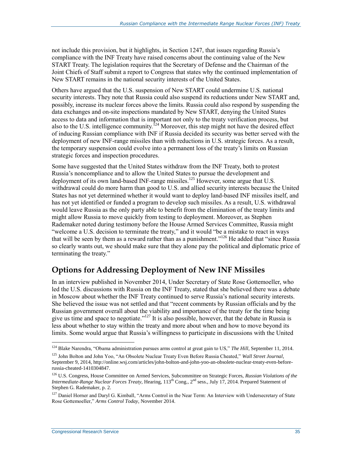not include this provision, but it highlights, in Section 1247, that issues regarding Russia's compliance with the INF Treaty have raised concerns about the continuing value of the New START Treaty. The legislation requires that the Secretary of Defense and the Chairman of the Joint Chiefs of Staff submit a report to Congress that states why the continued implementation of New START remains in the national security interests of the United States.

Others have argued that the U.S. suspension of New START could undermine U.S. national security interests. They note that Russia could also suspend its reductions under New START and, possibly, increase its nuclear forces above the limits. Russia could also respond by suspending the data exchanges and on-site inspections mandated by New START, denying the United States access to data and information that is important not only to the treaty verification process, but also to the U.S. intelligence community.<sup>124</sup> Moreover, this step might not have the desired effect of inducing Russian compliance with INF if Russia decided its security was better served with the deployment of new INF-range missiles than with reductions in U.S. strategic forces. As a result, the temporary suspension could evolve into a permanent loss of the treaty's limits on Russian strategic forces and inspection procedures.

Some have suggested that the United States withdraw from the INF Treaty, both to protest Russia's noncompliance and to allow the United States to pursue the development and deployment of its own land-based INF-range missiles.<sup>125</sup> However, some argue that U.S. withdrawal could do more harm than good to U.S. and allied security interests because the United States has not yet determined whether it would want to deploy land-based INF missiles itself, and has not yet identified or funded a program to develop such missiles. As a result, U.S. withdrawal would leave Russia as the only party able to benefit from the elimination of the treaty limits and might allow Russia to move quickly from testing to deployment. Moreover, as Stephen Rademaker noted during testimony before the House Armed Services Committee, Russia might "welcome a U.S. decision to terminate the treaty," and it would "be a mistake to react in ways that will be seen by them as a reward rather than as a punishment."<sup>126</sup> He added that "since Russia so clearly wants out, we should make sure that they alone pay the political and diplomatic price of terminating the treaty."

### **Options for Addressing Deployment of New INF Missiles**

In an interview published in November 2014, Under Secretary of State Rose Gottemoeller, who led the U.S. discussions with Russia on the INF Treaty, stated that she believed there was a debate in Moscow about whether the INF Treaty continued to serve Russia's national security interests. She believed the issue was not settled and that "recent comments by Russian officials and by the Russian government overall about the viability and importance of the treaty for the time being give us time and space to negotiate."<sup>127</sup> It is also possible, however, that the debate in Russia is less about whether to stay within the treaty and more about when and how to move beyond its limits. Some would argue that Russia's willingness to participate in discussions with the United

<sup>124</sup> Blake Narendra, "Obama administration pursues arms control at great gain to US," *The Hill*, September 11, 2014.

<sup>125</sup> John Bolton and John Yoo, "An Obsolete Nuclear Treaty Even Before Russia Cheated," *Wall Street Journal*, September 9, 2014, http://online.wsj.com/articles/john-bolton-and-john-yoo-an-obsolete-nuclear-treaty-even-beforerussia-cheated-1410304847.

<sup>126</sup> U.S. Congress, House Committee on Armed Services, Subcommittee on Strategic Forces, *Russian Violations of the Intermediate-Range Nuclear Forces Treaty*, Hearing, 113<sup>th</sup> Cong., 2<sup>nd</sup> sess., July 17, 2014. Prepared Statement of Stephen G. Rademaker, p. 2.

<sup>&</sup>lt;sup>127</sup> Daniel Horner and Daryl G. Kimball, "Arms Control in the Near Term: An Interview with Undersecretary of State Rose Gottemoeller," *Arms Control Today*, November 2014.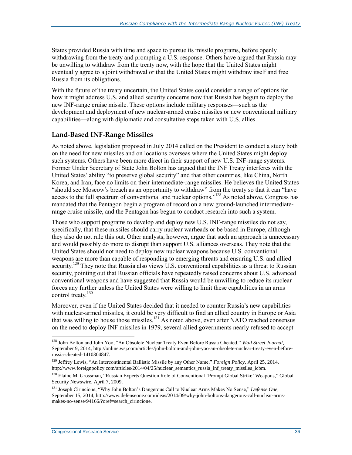States provided Russia with time and space to pursue its missile programs, before openly withdrawing from the treaty and prompting a U.S. response. Others have argued that Russia may be unwilling to withdraw from the treaty now, with the hope that the United States might eventually agree to a joint withdrawal or that the United States might withdraw itself and free Russia from its obligations.

With the future of the treaty uncertain, the United States could consider a range of options for how it might address U.S. and allied security concerns now that Russia has begun to deploy the new INF-range cruise missile. These options include military responses—such as the development and deployment of new nuclear-armed cruise missiles or new conventional military capabilities—along with diplomatic and consultative steps taken with U.S. allies.

#### **Land-Based INF-Range Missiles**

As noted above, legislation proposed in July 2014 called on the President to conduct a study both on the need for new missiles and on locations overseas where the United States might deploy such systems. Others have been more direct in their support of new U.S. INF-range systems. Former Under Secretary of State John Bolton has argued that the INF Treaty interferes with the United States' ability "to preserve global security" and that other countries, like China, North Korea, and Iran, face no limits on their intermediate-range missiles. He believes the United States "should see Moscow's breach as an opportunity to withdraw" from the treaty so that it can "have access to the full spectrum of conventional and nuclear options."<sup>128</sup> As noted above, Congress has mandated that the Pentagon begin a program of record on a new ground-launched intermediaterange cruise missile, and the Pentagon has begun to conduct research into such a system.

Those who support programs to develop and deploy new U.S. INF-range missiles do not say, specifically, that these missiles should carry nuclear warheads or be based in Europe, although they also do not rule this out. Other analysts, however, argue that such an approach is unnecessary and would possibly do more to disrupt than support U.S. alliances overseas. They note that the United States should not need to deploy new nuclear weapons because U.S. conventional weapons are more than capable of responding to emerging threats and ensuring U.S. and allied security.<sup>129</sup> They note that Russia also views U.S. conventional capabilities as a threat to Russian security, pointing out that Russian officials have repeatedly raised concerns about U.S. advanced conventional weapons and have suggested that Russia would be unwilling to reduce its nuclear forces any further unless the United States were willing to limit these capabilities in an arms control treaty.<sup>130</sup>

Moreover, even if the United States decided that it needed to counter Russia's new capabilities with nuclear-armed missiles, it could be very difficult to find an allied country in Europe or Asia that was willing to house those missiles.<sup>131</sup> As noted above, even after NATO reached consensus on the need to deploy INF missiles in 1979, several allied governments nearly refused to accept

<sup>128</sup> John Bolton and John Yoo, "An Obsolete Nuclear Treaty Even Before Russia Cheated," *Wall Street Journal*, September 9, 2014, http://online.wsj.com/articles/john-bolton-and-john-yoo-an-obsolete-nuclear-treaty-even-beforerussia-cheated-1410304847.

<sup>129</sup> Jeffrey Lewis, "An Intercontinental Ballistic Missile by any Other Name," *Foreign Policy*, April 25, 2014, http://www.foreignpolicy.com/articles/2014/04/25/nuclear\_semantics\_russia\_inf\_treaty\_missiles\_icbm.

<sup>&</sup>lt;sup>130</sup> Elaine M. Grossman, "Russian Experts Question Role of Conventional 'Prompt Global Strike' Weapons," Global Security Newswire, April 7, 2009.

<sup>131</sup> Joseph Cirincione, "Why John Bolton's Dangerous Call to Nuclear Arms Makes No Sense," *Defense One*, September 15, 2014, http://www.defenseone.com/ideas/2014/09/why-john-boltons-dangerous-call-nuclear-armsmakes-no-sense/94166/?oref=search\_cirincione.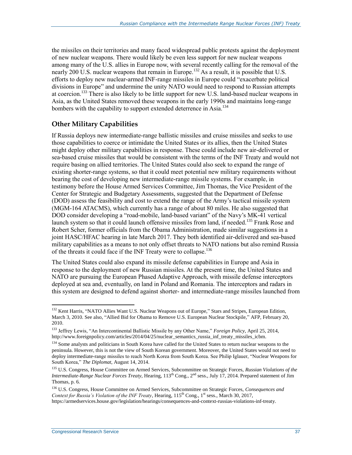the missiles on their territories and many faced widespread public protests against the deployment of new nuclear weapons. There would likely be even less support for new nuclear weapons among many of the U.S. allies in Europe now, with several recently calling for the removal of the nearly 200 U.S. nuclear weapons that remain in Europe.<sup>132</sup> As a result, it is possible that U.S. efforts to deploy new nuclear-armed INF-range missiles in Europe could "exacerbate political divisions in Europe" and undermine the unity NATO would need to respond to Russian attempts at coercion.<sup>133</sup> There is also likely to be little support for new U.S. land-based nuclear weapons in Asia, as the United States removed these weapons in the early 1990s and maintains long-range bombers with the capability to support extended deterrence in Asia.<sup>134</sup>

#### **Other Military Capabilities**

If Russia deploys new intermediate-range ballistic missiles and cruise missiles and seeks to use those capabilities to coerce or intimidate the United States or its allies, then the United States might deploy other military capabilities in response. These could include new air-delivered or sea-based cruise missiles that would be consistent with the terms of the INF Treaty and would not require basing on allied territories. The United States could also seek to expand the range of existing shorter-range systems, so that it could meet potential new military requirements without bearing the cost of developing new intermediate-range missile systems. For example, in testimony before the House Armed Services Committee, Jim Thomas, the Vice President of the Center for Strategic and Budgetary Assessments, suggested that the Department of Defense (DOD) assess the feasibility and cost to extend the range of the Army's tactical missile system (MGM-164 ATACMS), which currently has a range of about 80 miles. He also suggested that DOD consider developing a "road-mobile, land-based variant" of the Navy's MK-41 vertical launch system so that it could launch offensive missiles from land, if needed.<sup>135</sup> Frank Rose and Robert Scher, former officials from the Obama Administration, made similar suggestions in a joint HASC/HFAC hearing in late March 2017. They both identified air-delivered and sea-based military capabilities as a means to not only offset threats to NATO nations but also remind Russia of the threats it could face if the INF Treaty were to collapse.<sup>136</sup>

The United States could also expand its missile defense capabilities in Europe and Asia in response to the deployment of new Russian missiles. At the present time, the United States and NATO are pursuing the European Phased Adaptive Approach, with missile defense interceptors deployed at sea and, eventually, on land in Poland and Romania. The interceptors and radars in this system are designed to defend against shorter- and intermediate-range missiles launched from

<sup>&</sup>lt;sup>132</sup> Kent Harris, "NATO Allies Want U.S. Nuclear Weapons out of Europe," Stars and Stripes, European Edition, March 3, 2010. See also, "Allied Bid for Obama to Remove U.S. European Nuclear Stockpile," AFP, February 20, 2010.

<sup>133</sup> Jeffrey Lewis, "An Intercontinental Ballistic Missile by any Other Name," *Foreign Policy*, April 25, 2014, http://www.foreignpolicy.com/articles/2014/04/25/nuclear\_semantics\_russia\_inf\_treaty\_missiles\_icbm.

<sup>&</sup>lt;sup>134</sup> Some analysts and politicians in South Korea have called for the United States to return nuclear weapons to the peninsula. However, this is not the view of South Korean government. Moreover, the United States would not need to deploy intermediate-range missiles to reach North Korea from South Korea. See Philip Iglauer, "Nuclear Weapons for South Korea," *The Diplomat*, August 14, 2014.

<sup>135</sup> U.S. Congress, House Committee on Armed Services, Subcommittee on Strategic Forces, *Russian Violations of the Intermediate-Range Nuclear Forces Treaty*, Hearing, 113th Cong., 2nd sess., July 17, 2014. Prepared statement of Jim Thomas, p. 6.

<sup>136</sup> U.S. Congress, House Committee on Armed Services, Subcommittee on Strategic Forces, *Consequences and Context for Russia's Violation of the INF Treaty*, Hearing, 115<sup>th</sup> Cong., 1<sup>st</sup> sess., March 30, 2017, https://armedservices.house.gov/legislation/hearings/consequences-and-context-russias-violations-inf-treaty.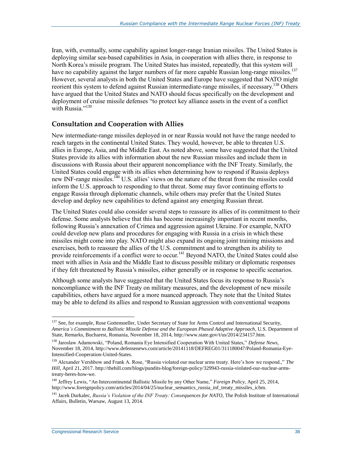Iran, with, eventually, some capability against longer-range Iranian missiles. The United States is deploying similar sea-based capabilities in Asia, in cooperation with allies there, in response to North Korea's missile program. The United States has insisted, repeatedly, that this system will have no capability against the larger numbers of far more capable Russian long-range missiles.<sup>137</sup> However, several analysts in both the United States and Europe have suggested that NATO might reorient this system to defend against Russian intermediate-range missiles, if necessary.<sup>138</sup> Others have argued that the United States and NATO should focus specifically on the development and deployment of cruise missile defenses "to protect key alliance assets in the event of a conflict with Russia."<sup>139</sup>

#### **Consultation and Cooperation with Allies**

New intermediate-range missiles deployed in or near Russia would not have the range needed to reach targets in the continental United States. They would, however, be able to threaten U.S. allies in Europe, Asia, and the Middle East. As noted above, some have suggested that the United States provide its allies with information about the new Russian missiles and include them in discussions with Russia about their apparent noncompliance with the INF Treaty. Similarly, the United States could engage with its allies when determining how to respond if Russia deploys new INF-range missiles.<sup>140</sup> U.S. allies' views on the nature of the threat from the missiles could inform the U.S. approach to responding to that threat. Some may favor continuing efforts to engage Russia through diplomatic channels, while others may prefer that the United States develop and deploy new capabilities to defend against any emerging Russian threat.

The United States could also consider several steps to reassure its allies of its commitment to their defense. Some analysts believe that this has become increasingly important in recent months, following Russia's annexation of Crimea and aggression against Ukraine. For example, NATO could develop new plans and procedures for engaging with Russia in a crisis in which these missiles might come into play. NATO might also expand its ongoing joint training missions and exercises, both to reassure the allies of the U.S. commitment and to strengthen its ability to provide reinforcements if a conflict were to occur.<sup>141</sup> Beyond NATO, the United States could also meet with allies in Asia and the Middle East to discuss possible military or diplomatic responses if they felt threatened by Russia's missiles, either generally or in response to specific scenarios.

Although some analysts have suggested that the United States focus its response to Russia's noncompliance with the INF Treaty on military measures, and the development of new missile capabilities, others have argued for a more nuanced approach. They note that the United States may be able to defend its allies and respond to Russian aggression with conventional weapons

<sup>&</sup>lt;sup>137</sup> See, for example, Rose Gottemoeller, Under Secretary of State for Arms Control and International Security, *America's Commitment to Ballistic Missile Defense and the European Phased Adaptive Approach*, U.S. Department of State, Remarks, Bucharest, Romania, November 18, 2014, http://www.state.gov/t/us/2014/234157.htm.

<sup>138</sup> Jaroslaw Adamowski, "Poland, Romania Eye Intensified Cooperation With United States," *Defense News*, November 18, 2014, http://www.defensenews.com/article/20141118/DEFREG01/311180047/Poland-Romania-Eye-Intensified-Cooperation-United-States.

<sup>139</sup> Alexander Vershbow and Frank A. Rose, "Russia violated our nuclear arms treaty. Here's how we respond.," *The Hill*, April 21, 2017. http://thehill.com/blogs/pundits-blog/foreign-policy/329943-russia-violated-our-nuclear-armstreaty-heres-how-we.

<sup>140</sup> Jeffrey Lewis, "An Intercontinental Ballistic Missile by any Other Name," *Foreign Policy*, April 25, 2014, http://www.foreignpolicy.com/articles/2014/04/25/nuclear\_semantics\_russia\_inf\_treaty\_missiles\_icbm.

<sup>&</sup>lt;sup>141</sup> Jacek Durkalec, *Russia's Violation of the INF Treaty: Consequences for NATO*, The Polish Institute of International Affairs, Bulletin, Warsaw, August 13, 2014.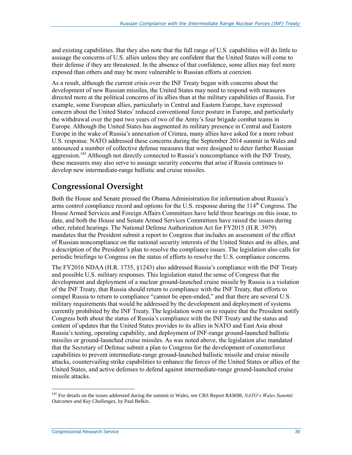and existing capabilities. But they also note that the full range of U.S. capabilities will do little to assuage the concerns of U.S. allies unless they are confident that the United States will come to their defense if they are threatened. In the absence of that confidence, some allies may feel more exposed than others and may be more vulnerable to Russian efforts at coercion.

As a result, although the current crisis over the INF Treaty began with concerns about the development of new Russian missiles, the United States may need to respond with measures directed more at the political concerns of its allies than at the military capabilities of Russia. For example, some European allies, particularly in Central and Eastern Europe, have expressed concern about the United States' reduced conventional force posture in Europe, and particularly the withdrawal over the past two years of two of the Army's four brigade combat teams in Europe. Although the United States has augmented its military presence in Central and Eastern Europe in the wake of Russia's annexation of Crimea, many allies have asked for a more robust U.S. response. NATO addressed these concerns during the September 2014 summit in Wales and announced a number of collective defense measures that were designed to deter further Russian aggression.<sup>142</sup> Although not directly connected to Russia's noncompliance with the INF Treaty, these measures may also serve to assuage security concerns that arise if Russia continues to develop new intermediate-range ballistic and cruise missiles.

### **Congressional Oversight**

Both the House and Senate pressed the Obama Administration for information about Russia's arms control compliance record and options for the U.S. response during the  $114<sup>th</sup>$  Congress. The House Armed Services and Foreign Affairs Committees have held three hearings on this issue, to date, and both the House and Senate Armed Services Committees have raised the issues during other, related hearings. The National Defense Authorization Act for FY2015 (H.R. 3979) mandates that the President submit a report to Congress that includes an assessment of the effect of Russian noncompliance on the national security interests of the United States and its allies, and a description of the President's plan to resolve the compliance issues. The legislation also calls for periodic briefings to Congress on the status of efforts to resolve the U.S. compliance concerns.

The FY2016 NDAA (H.R. 1735, §1243) also addressed Russia's compliance with the INF Treaty and possible U.S. military responses. This legislation stated the sense of Congress that the development and deployment of a nuclear ground-launched cruise missile by Russia is a violation of the INF Treaty, that Russia should return to compliance with the INF Treaty, that efforts to compel Russia to return to compliance "cannot be open-ended," and that there are several U.S. military requirements that would be addressed by the development and deployment of systems currently prohibited by the INF Treaty. The legislation went on to require that the President notify Congress both about the status of Russia's compliance with the INF Treaty and the status and content of updates that the United States provides to its allies in NATO and East Asia about Russia's testing, operating capability, and deployment of INF-range ground-launched ballistic missiles or ground-launched cruise missiles. As was noted above, the legislation also mandated that the Secretary of Defense submit a plan to Congress for the development of counterforce capabilities to prevent intermediate-range ground-launched ballistic missile and cruise missile attacks, countervailing strike capabilities to enhance the forces of the United States or allies of the United States, and active defenses to defend against intermediate-range ground-launched cruise missile attacks.

<sup>142</sup> For details on the issues addressed during the summit in Wales, see CRS Report R43698, *NATO's Wales Summit: Outcomes and Key Challenges*, by Paul Belkin.